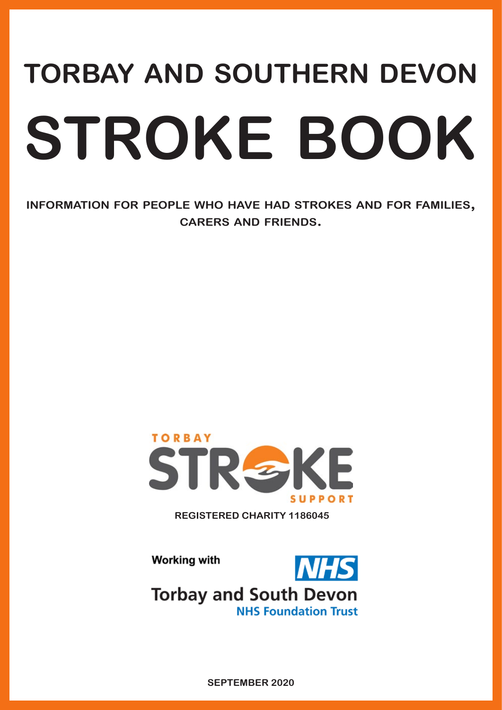# **torbay and southern devon stroke book**

**information for people who have had strokes and for families, carers and friends.**



**REGISTERED CHARITY 1186045**

**Working with** 



**NHS Foundation Trust** 

**SEPTEMBER 2020**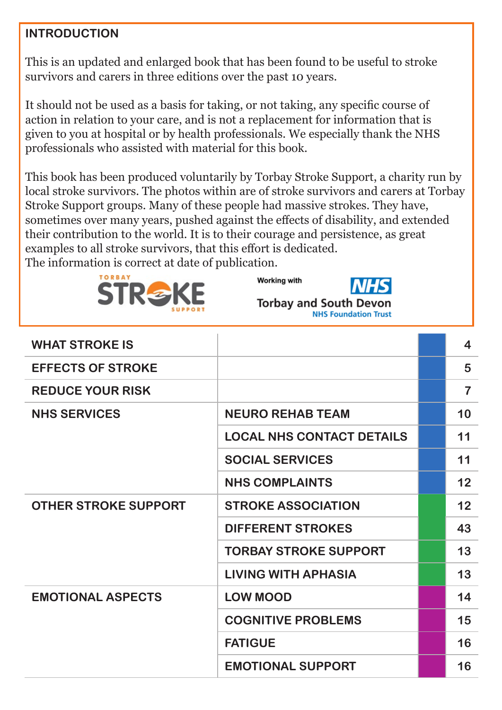#### **INTRODUCTION**

This is an updated and enlarged book that has been found to be useful to stroke survivors and carers in three editions over the past 10 years.

It should not be used as a basis for taking, or not taking, any specific course of action in relation to your care, and is not a replacement for information that is given to you at hospital or by health professionals. We especially thank the NHS professionals who assisted with material for this book.

This book has been produced voluntarily by Torbay Stroke Support, a charity run by local stroke survivors. The photos within are of stroke survivors and carers at Torbay Stroke Support groups. Many of these people had massive strokes. They have, sometimes over many years, pushed against the effects of disability, and extended their contribution to the world. It is to their courage and persistence, as great examples to all stroke survivors, that this effort is dedicated. The information is correct at date of publication.



**Working with** 



**Torbay and South Dev NHS Foundation Trust** 

| <b>WHAT STROKE IS</b>       |                                  | $\overline{\mathbf{4}}$ |
|-----------------------------|----------------------------------|-------------------------|
| <b>EFFECTS OF STROKE</b>    |                                  | 5                       |
| <b>REDUCE YOUR RISK</b>     |                                  | $\overline{7}$          |
| <b>NHS SERVICES</b>         | <b>NEURO REHAB TEAM</b>          | 10                      |
|                             | <b>LOCAL NHS CONTACT DETAILS</b> | 11                      |
|                             | <b>SOCIAL SERVICES</b>           | 11                      |
|                             | <b>NHS COMPLAINTS</b>            | 12                      |
| <b>OTHER STROKE SUPPORT</b> | <b>STROKE ASSOCIATION</b>        | 12                      |
|                             | <b>DIFFERENT STROKES</b>         | 43                      |
|                             | <b>TORBAY STROKE SUPPORT</b>     | 13                      |
|                             | <b>LIVING WITH APHASIA</b>       | 13                      |
| <b>EMOTIONAL ASPECTS</b>    | <b>LOW MOOD</b>                  | 14                      |
|                             | <b>COGNITIVE PROBLEMS</b>        | 15                      |
|                             | <b>FATIGUE</b>                   | 16                      |
|                             | <b>EMOTIONAL SUPPORT</b>         | 16                      |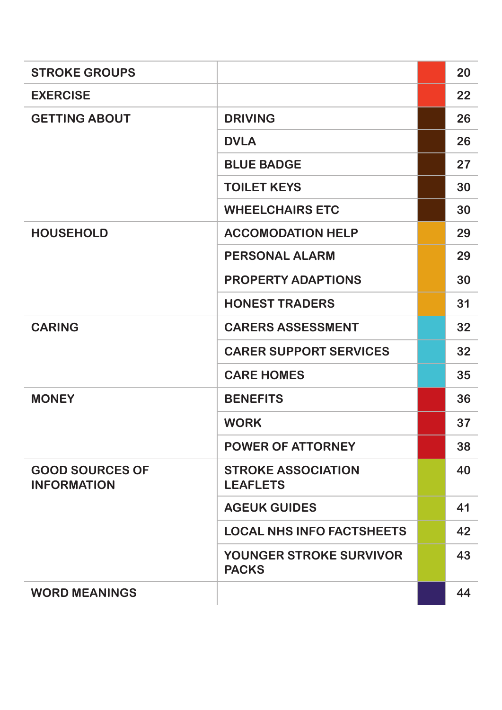| <b>STROKE GROUPS</b>                         |                                                | 20 |
|----------------------------------------------|------------------------------------------------|----|
| <b>EXERCISE</b>                              |                                                | 22 |
| <b>GETTING ABOUT</b>                         | <b>DRIVING</b>                                 | 26 |
|                                              | <b>DVLA</b>                                    | 26 |
|                                              | <b>BLUE BADGE</b>                              | 27 |
|                                              | <b>TOILET KEYS</b>                             | 30 |
|                                              | <b>WHEELCHAIRS ETC</b>                         | 30 |
| <b>HOUSEHOLD</b>                             | <b>ACCOMODATION HELP</b>                       | 29 |
|                                              | <b>PERSONAL ALARM</b>                          | 29 |
|                                              | <b>PROPERTY ADAPTIONS</b>                      | 30 |
|                                              | <b>HONEST TRADERS</b>                          | 31 |
| <b>CARING</b>                                | <b>CARERS ASSESSMENT</b>                       | 32 |
|                                              | <b>CARER SUPPORT SERVICES</b>                  | 32 |
|                                              | <b>CARE HOMES</b>                              | 35 |
| <b>MONEY</b>                                 | <b>BENEFITS</b>                                | 36 |
|                                              | <b>WORK</b>                                    | 37 |
|                                              | <b>POWER OF ATTORNEY</b>                       | 38 |
| <b>GOOD SOURCES OF</b><br><b>INFORMATION</b> | <b>STROKE ASSOCIATION</b><br><b>LEAFLETS</b>   | 40 |
|                                              | <b>AGEUK GUIDES</b>                            | 41 |
|                                              | <b>LOCAL NHS INFO FACTSHEETS</b>               | 42 |
|                                              | <b>YOUNGER STROKE SURVIVOR</b><br><b>PACKS</b> | 43 |
| <b>WORD MEANINGS</b>                         |                                                | 44 |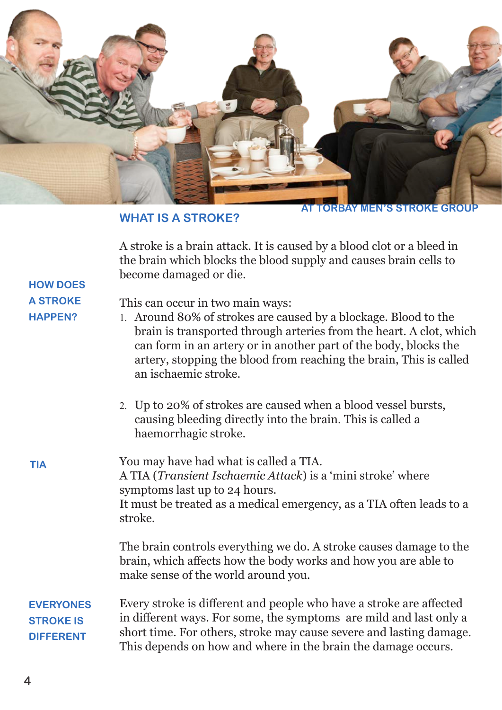

#### **WHAT IS A STROKE?**

**TORBAY MEN'S STROKE GROU** 

A stroke is a brain attack. It is caused by a blood clot or a bleed in the brain which blocks the blood supply and causes brain cells to become damaged or die.

#### **HOW DOES A STROKE HAPPEN?**

This can occur in two main ways:

- 1. Around 80% of strokes are caused by a blockage. Blood to the brain is transported through arteries from the heart. A clot, which can form in an artery or in another part of the body, blocks the artery, stopping the blood from reaching the brain, This is called an ischaemic stroke.
- 2. Up to 20% of strokes are caused when a blood vessel bursts, causing bleeding directly into the brain. This is called a haemorrhagic stroke.

You may have had what is called a TIA. A TIA (*Transient Ischaemic Attack*) is a 'mini stroke' where symptoms last up to 24 hours. It must be treated as a medical emergency, as a TIA often leads to a stroke. **TIA**

> The brain controls everything we do. A stroke causes damage to the brain, which affects how the body works and how you are able to make sense of the world around you.

#### Every stroke is different and people who have a stroke are affected in different ways. For some, the symptoms are mild and last only a short time. For others, stroke may cause severe and lasting damage. This depends on how and where in the brain the damage occurs. **EVERYONES STROKE IS DIFFERENT**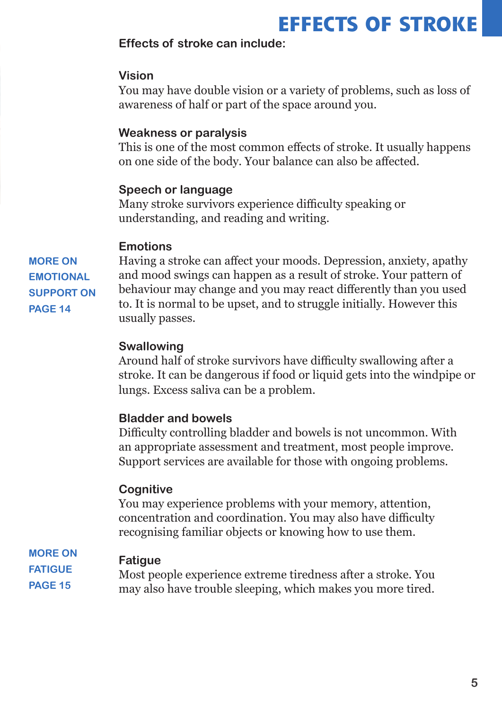### **EFFECTS OF STROKE**

#### **Effects of stroke can include:**

#### **Vision**

You may have double vision or a variety of problems, such as loss of awareness of half or part of the space around you.

#### **Weakness or paralysis**

This is one of the most common effects of stroke. It usually happens on one side of the body. Your balance can also be affected.

#### **Speech or language**

Many stroke survivors experience difficulty speaking or understanding, and reading and writing.

#### **Emotions**

**MORE ON EMOTIONAL SUPPORT ON PAGE 14**

Having a stroke can affect your moods. Depression, anxiety, apathy and mood swings can happen as a result of stroke. Your pattern of behaviour may change and you may react differently than you used to. It is normal to be upset, and to struggle initially. However this usually passes.

#### **Swallowing**

Around half of stroke survivors have difficulty swallowing after a stroke. It can be dangerous if food or liquid gets into the windpipe or lungs. Excess saliva can be a problem.

#### **Bladder and bowels**

Difficulty controlling bladder and bowels is not uncommon. With an appropriate assessment and treatment, most people improve. Support services are available for those with ongoing problems.

#### **Cognitive**

You may experience problems with your memory, attention, concentration and coordination. You may also have difficulty recognising familiar objects or knowing how to use them.

**MORE ON FATIGUE PAGE 15**

#### **Fatigue**

Most people experience extreme tiredness after a stroke. You may also have trouble sleeping, which makes you more tired.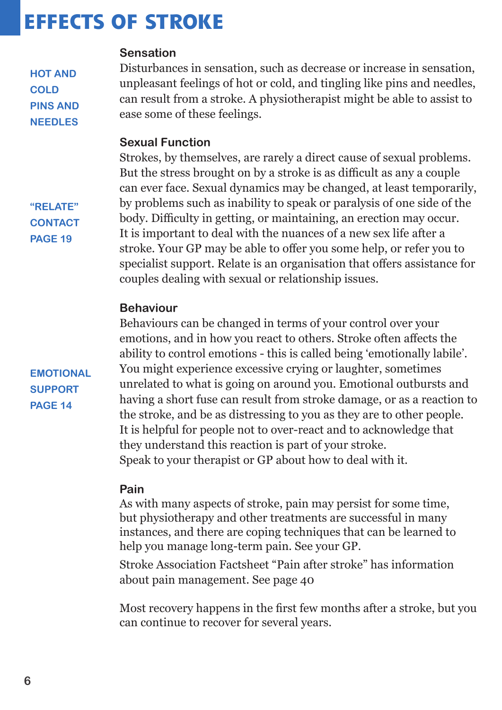### **EFFECTS OF STROKE**

#### **Sensation**

Disturbances in sensation, such as decrease or increase in sensation, unpleasant feelings of hot or cold, and tingling like pins and needles, can result from a stroke. A physiotherapist might be able to assist to ease some of these feelings.

#### **Sexual Function**

Strokes, by themselves, are rarely a direct cause of sexual problems. But the stress brought on by a stroke is as difficult as any a couple can ever face. Sexual dynamics may be changed, at least temporarily, by problems such as inability to speak or paralysis of one side of the body. Difficulty in getting, or maintaining, an erection may occur. It is important to deal with the nuances of a new sex life after a stroke. Your GP may be able to offer you some help, or refer you to specialist support. Relate is an organisation that offers assistance for couples dealing with sexual or relationship issues.

#### **Behaviour**

Behaviours can be changed in terms of your control over your emotions, and in how you react to others. Stroke often affects the ability to control emotions - this is called being 'emotionally labile'. You might experience excessive crying or laughter, sometimes unrelated to what is going on around you. Emotional outbursts and having a short fuse can result from stroke damage, or as a reaction to the stroke, and be as distressing to you as they are to other people. It is helpful for people not to over-react and to acknowledge that they understand this reaction is part of your stroke. Speak to your therapist or GP about how to deal with it.

#### **Pain**

As with many aspects of stroke, pain may persist for some time, but physiotherapy and other treatments are successful in many instances, and there are coping techniques that can be learned to help you manage long-term pain. See your GP.

Stroke Association Factsheet "Pain after stroke" has information about pain management. See page 40

Most recovery happens in the first few months after a stroke, but you can continue to recover for several years.

**"RELATE" CONTACT PAGE 19**

**HOT AND** 

**PINS AND NEEDLES**

**COLD**

**EMOTIONAL SUPPORT PAGE 14**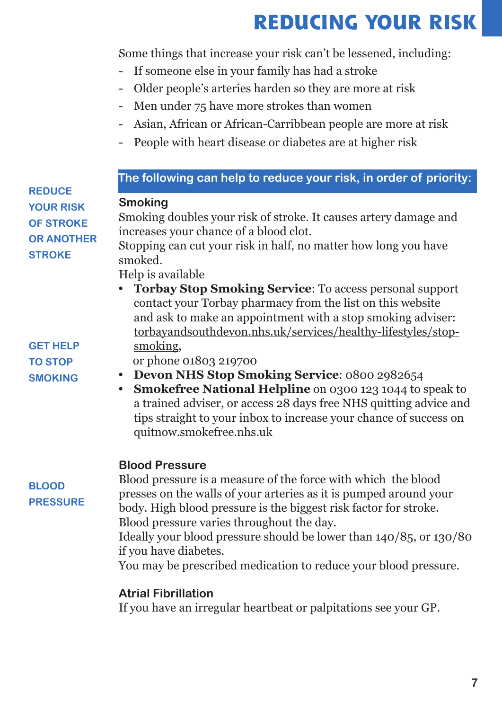# **REDUCING YOUR RISK**

Some things that increase your risk can't be lessened, including:

- If someone else in your family has had a stroke
- Older people's arteries harden so they are more at risk
- Men under 75 have more strokes than women
- Asian, African or African-Carribbean people are more at risk
- People with heart disease or diabetes are at higher risk

| <b>REDUCE</b>                                                              | The following can help to reduce your risk, in order of priority:                                                                                                                                                                                                                                                                                  |
|----------------------------------------------------------------------------|----------------------------------------------------------------------------------------------------------------------------------------------------------------------------------------------------------------------------------------------------------------------------------------------------------------------------------------------------|
| <b>YOUR RISK</b><br><b>OF STROKE</b><br><b>OR ANOTHER</b><br><b>STROKE</b> | <b>Smoking</b><br>Smoking doubles your risk of stroke. It causes artery damage and<br>increases your chance of a blood clot.<br>Stopping can cut your risk in half, no matter how long you have<br>smoked.<br>Help is available                                                                                                                    |
| <b>GET HELP</b>                                                            | • Torbay Stop Smoking Service: To access personal support<br>contact your Torbay pharmacy from the list on this website<br>and ask to make an appointment with a stop smoking adviser:<br>torbayandsouthdevon.nhs.uk/services/healthy-lifestyles/stop-<br>smoking,                                                                                 |
| <b>TO STOP</b>                                                             | or phone 01803 219700<br><b>Devon NHS Stop Smoking Service: 0800 2982654</b><br>$\bullet$                                                                                                                                                                                                                                                          |
| <b>SMOKING</b>                                                             | <b>Smokefree National Helpline</b> on 0300 123 1044 to speak to<br>$\bullet$<br>a trained adviser, or access 28 days free NHS quitting advice and<br>tips straight to your inbox to increase your chance of success on<br>quitnow.smokefree.nhs.uk                                                                                                 |
| <b>BLOOD</b><br><b>PRESSURE</b>                                            | <b>Blood Pressure</b><br>Blood pressure is a measure of the force with which the blood<br>presses on the walls of your arteries as it is pumped around your<br>body. High blood pressure is the biggest risk factor for stroke.<br>Blood pressure varies throughout the day.<br>Ideally your blood pressure should be lower than 140/85, or 130/80 |
|                                                                            | if you have diabetes.<br>You may be prescribed medication to reduce your blood pressure.                                                                                                                                                                                                                                                           |
|                                                                            | <b>Atrial Fibrillation</b>                                                                                                                                                                                                                                                                                                                         |
|                                                                            | If you have an irregular heartbeat or palpitations see your GP.                                                                                                                                                                                                                                                                                    |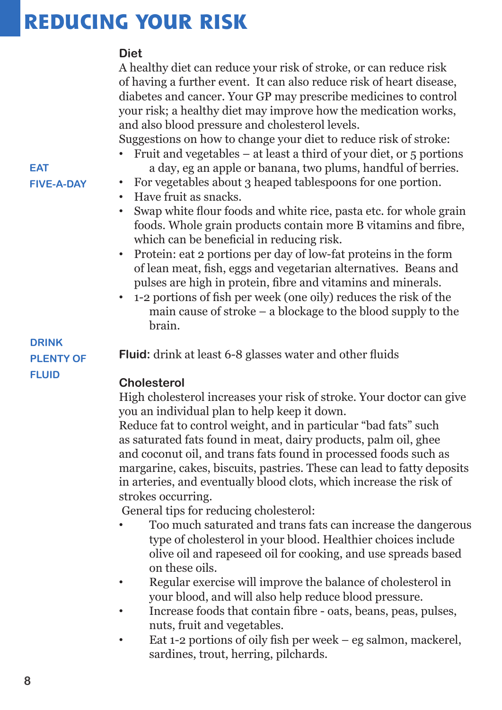## **REDUCING YOUR RISK**

#### **Diet**

A healthy diet can reduce your risk of stroke, or can reduce risk of having a further event. It can also reduce risk of heart disease, diabetes and cancer. Your GP may prescribe medicines to control your risk; a healthy diet may improve how the medication works, and also blood pressure and cholesterol levels.

Suggestions on how to change your diet to reduce risk of stroke:

- Fruit and vegetables at least a third of your diet, or  $5$  portions a day, eg an apple or banana, two plums, handful of berries.
- For vegetables about 3 heaped tablespoons for one portion.
- Have fruit as snacks.
- Swap white flour foods and white rice, pasta etc. for whole grain foods. Whole grain products contain more B vitamins and fibre, which can be beneficial in reducing risk.
- Protein: eat 2 portions per day of low-fat proteins in the form of lean meat, fish, eggs and vegetarian alternatives. Beans and pulses are high in protein, fibre and vitamins and minerals.
- 1-2 portions of fish per week (one oily) reduces the risk of the main cause of stroke – a blockage to the blood supply to the brain.

**Fluid:** drink at least 6-8 glasses water and other fluids

#### **Cholesterol**

High cholesterol increases your risk of stroke. Your doctor can give you an individual plan to help keep it down.

Reduce fat to control weight, and in particular "bad fats" such as saturated fats found in meat, dairy products, palm oil, ghee and coconut oil, and trans fats found in processed foods such as margarine, cakes, biscuits, pastries. These can lead to fatty deposits in arteries, and eventually blood clots, which increase the risk of strokes occurring.

General tips for reducing cholesterol:

- Too much saturated and trans fats can increase the dangerous type of cholesterol in your blood. Healthier choices include olive oil and rapeseed oil for cooking, and use spreads based on these oils.
- Regular exercise will improve the balance of cholesterol in your blood, and will also help reduce blood pressure.
- Increase foods that contain fibre oats, beans, peas, pulses, nuts, fruit and vegetables.
- Eat 1-2 portions of oily fish per week eg salmon, mackerel, sardines, trout, herring, pilchards.

#### **EAT FIVE-A-DAY**

#### **DRINK PLENTY OF FLUID**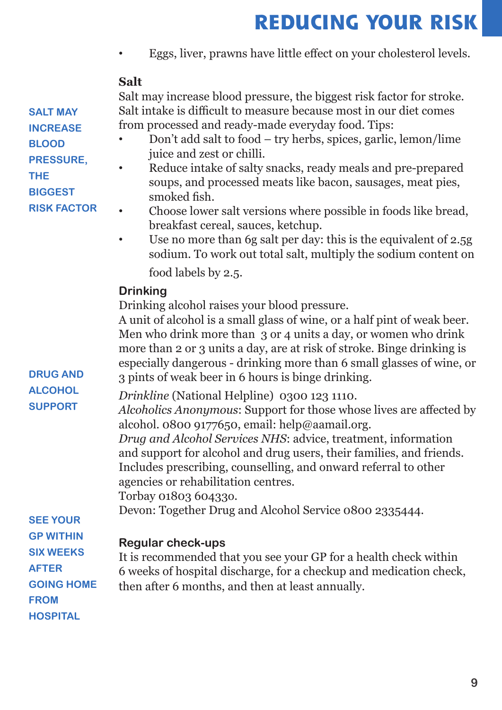## **REDUCING YOUR RISK**

• Eggs, liver, prawns have little effect on your cholesterol levels.

### **Salt**

Salt may increase blood pressure, the biggest risk factor for stroke. Salt intake is difficult to measure because most in our diet comes from processed and ready-made everyday food. Tips:

- Don't add salt to food try herbs, spices, garlic, lemon/lime juice and zest or chilli.
- Reduce intake of salty snacks, ready meals and pre-prepared soups, and processed meats like bacon, sausages, meat pies, smoked fish.
- Choose lower salt versions where possible in foods like bread, breakfast cereal, sauces, ketchup.
- Use no more than 6g salt per day: this is the equivalent of 2.5g sodium. To work out total salt, multiply the sodium content on

food labels by 2.5.

#### **Drinking**

Drinking alcohol raises your blood pressure.

A unit of alcohol is a small glass of wine, or a half pint of weak beer. Men who drink more than 3 or 4 units a day, or women who drink more than 2 or 3 units a day, are at risk of stroke. Binge drinking is especially dangerous - drinking more than 6 small glasses of wine, or 3 pints of weak beer in 6 hours is binge drinking.

*Drinkline* (National Helpline) 0300 123 1110.

*Alcoholics Anonymous*: Support for those whose lives are affected by alcohol. 0800 9177650, email: help@aamail.org.

*Drug and Alcohol Services NHS*: advice, treatment, information and support for alcohol and drug users, their families, and friends. Includes prescribing, counselling, and onward referral to other agencies or rehabilitation centres.

Torbay 01803 60433o.

Devon: Together Drug and Alcohol Service 0800 2335444.

#### **SEE YOUR GP WITHIN**

**SIX WEEKS** 

**GOING HOME** 

**AFTER** 

**FROM**

**HOSPITAL**

**DRUG AND ALCOHOL SUPPORT**

### **Regular check-ups**

It is recommended that you see your GP for a health check within 6 weeks of hospital discharge, for a checkup and medication check, then after 6 months, and then at least annually.

**SALT MAY INCREASE BLOOD PRESSURE, THE** 

**BIGGEST** 

**RISK FACTOR**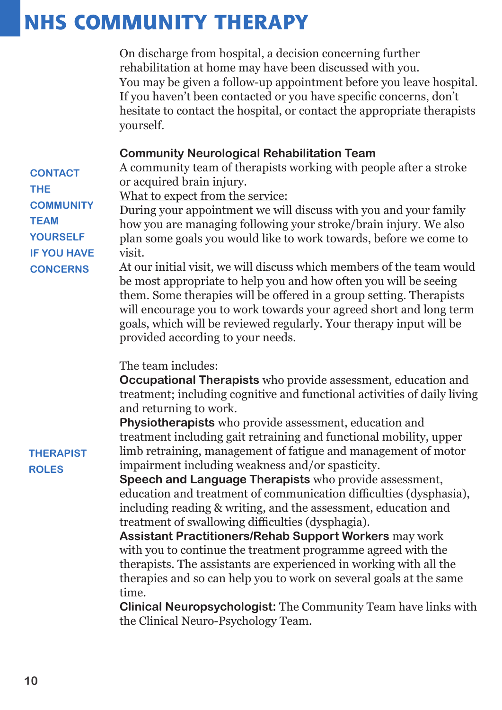### **NHS COMMUNITY THERAPY**

On discharge from hospital, a decision concerning further rehabilitation at home may have been discussed with you. You may be given a follow-up appointment before you leave hospital. If you haven't been contacted or you have specific concerns, don't hesitate to contact the hospital, or contact the appropriate therapists yourself.

#### **Community Neurological Rehabilitation Team**

A community team of therapists working with people after a stroke or acquired brain injury.

**CONTACT THE COMMUNITY TEAM YOURSELF IF YOU HAVE CONCERNS**

What to expect from the service:

During your appointment we will discuss with you and your family how you are managing following your stroke/brain injury. We also plan some goals you would like to work towards, before we come to visit.

At our initial visit, we will discuss which members of the team would be most appropriate to help you and how often you will be seeing them. Some therapies will be offered in a group setting. Therapists will encourage you to work towards your agreed short and long term goals, which will be reviewed regularly. Your therapy input will be provided according to your needs.

The team includes:

**Occupational Therapists** who provide assessment, education and treatment; including cognitive and functional activities of daily living and returning to work.

**Physiotherapists** who provide assessment, education and treatment including gait retraining and functional mobility, upper limb retraining, management of fatigue and management of motor impairment including weakness and/or spasticity.

**Speech and Language Therapists** who provide assessment, education and treatment of communication difficulties (dysphasia), including reading & writing, and the assessment, education and treatment of swallowing difficulties (dysphagia).

**Assistant Practitioners/Rehab Support Workers** may work with you to continue the treatment programme agreed with the therapists. The assistants are experienced in working with all the therapies and so can help you to work on several goals at the same time.

**Clinical Neuropsychologist:** The Community Team have links with the Clinical Neuro-Psychology Team.

#### **THERAPIST ROLES**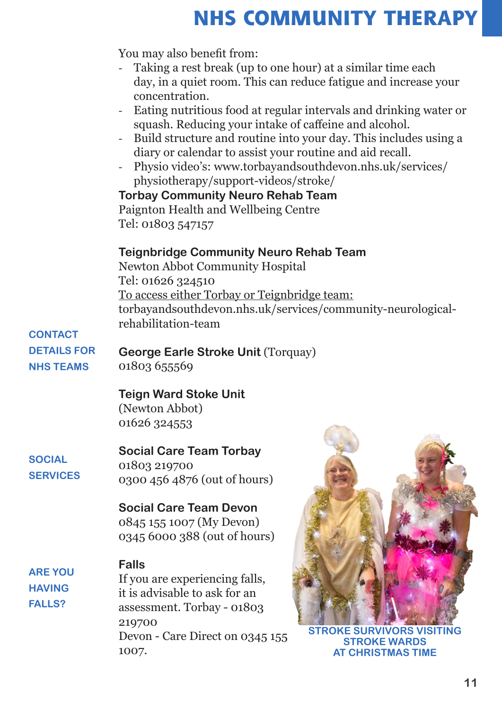### **NHS COMMUNITY THERAPY**

You may also benefit from:

- Taking a rest break (up to one hour) at a similar time each day, in a quiet room. This can reduce fatigue and increase your concentration.
- Eating nutritious food at regular intervals and drinking water or squash. Reducing your intake of caffeine and alcohol.
- Build structure and routine into your day. This includes using a diary or calendar to assist your routine and aid recall.
- Physio video's: www.torbayandsouthdevon.nhs.uk/services/ physiotherapy/support-videos/stroke/

**Torbay Community Neuro Rehab Team** Paignton Health and Wellbeing Centre Tel: 01803 547157

#### **Teignbridge Community Neuro Rehab Team**

Newton Abbot Community Hospital Tel: 01626 324510 To access either Torbay or Teignbridge team: torbayandsouthdevon.nhs.uk/services/community-neurologicalrehabilitation-team

#### **CONTACT DETAILS FOR NHS TEAMS**

**George Earle Stroke Unit** (Torquay) 01803 655569

#### **Teign Ward Stoke Unit**

(Newton Abbot) 01626 324553

#### **SOCIAL SERVICES**

**ARE YOU HAVING FALLS?**

#### **Social Care Team Torbay**

01803 219700 0300 456 4876 (out of hours)

### **Social Care Team Devon**

0845 155 1007 (My Devon) 0345 6000 388 (out of hours)

#### **Falls**

If you are experiencing falls, it is advisable to ask for an assessment. Torbay - 01803 219700 Devon - Care Direct on 0345 155 1007.



**STROKE SURVIVORS VISITING STROKE WARDS AT CHRISTMAS TIME**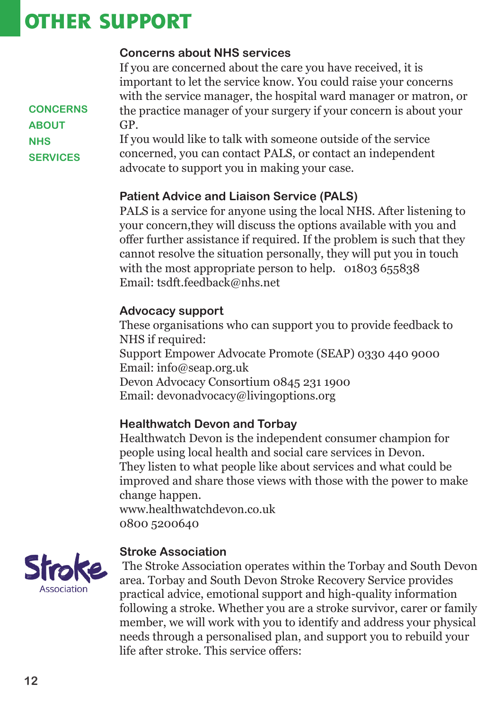### **OTHER SUPPORT**

#### **Concerns about NHS services**

If you are concerned about the care you have received, it is important to let the service know. You could raise your concerns with the service manager, the hospital ward manager or matron, or the practice manager of your surgery if your concern is about your GP.

If you would like to talk with someone outside of the service concerned, you can contact PALS, or contact an independent advocate to support you in making your case.

#### **Patient Advice and Liaison Service (PALS)**

PALS is a service for anyone using the local NHS. After listening to your concern,they will discuss the options available with you and offer further assistance if required. If the problem is such that they cannot resolve the situation personally, they will put you in touch with the most appropriate person to help. 01803 655838 Email: tsdft.feedback@nhs.net

#### **Advocacy support**

These organisations who can support you to provide feedback to NHS if required: Support Empower Advocate Promote (SEAP) 0330 440 9000 Email: info@seap.org.uk Devon Advocacy Consortium 0845 231 1900 Email: devonadvocacy@livingoptions.org

#### **Healthwatch Devon and Torbay**

Healthwatch Devon is the independent consumer champion for people using local health and social care services in Devon. They listen to what people like about services and what could be improved and share those views with those with the power to make change happen.

www.healthwatchdevon.co.uk 0800 5200640



#### **Stroke Association**

The Stroke Association operates within the Torbay and South Devon area. Torbay and South Devon Stroke Recovery Service provides practical advice, emotional support and high-quality information following a stroke. Whether you are a stroke survivor, carer or family member, we will work with you to identify and address your physical needs through a personalised plan, and support you to rebuild your life after stroke. This service offers:

**CONCERNS ABOUT NHS SERVICES**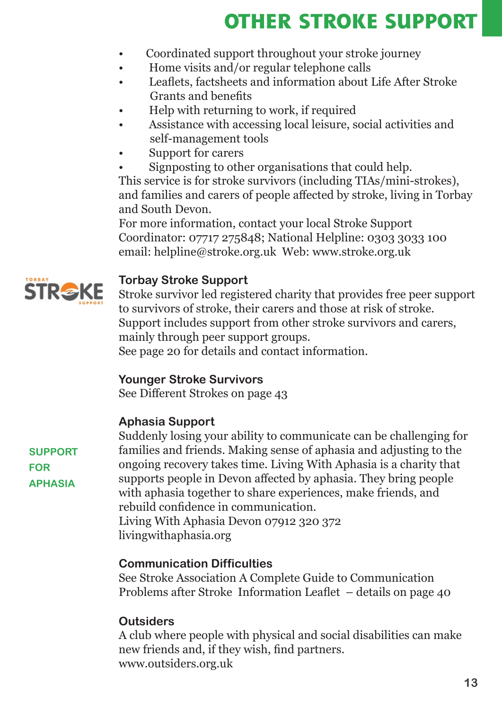## **OTHER STROKE SUPPORT**

- Coordinated support throughout your stroke journey
- Home visits and/or regular telephone calls
- Leaflets, factsheets and information about Life After Stroke Grants and benefits
- Help with returning to work, if required
- Assistance with accessing local leisure, social activities and self-management tools
- Support for carers
- Signposting to other organisations that could help.

This service is for stroke survivors (including TIAs/mini-strokes), and families and carers of people affected by stroke, living in Torbay and South Devon.

For more information, contact your local Stroke Support Coordinator: 07717 275848; National Helpline: 0303 3033 100 email: helpline@stroke.org.uk Web: www.stroke.org.uk



#### **Torbay Stroke Support**

Stroke survivor led registered charity that provides free peer support to survivors of stroke, their carers and those at risk of stroke. Support includes support from other stroke survivors and carers, mainly through peer support groups.

See page 20 for details and contact information.

#### **Younger Stroke Survivors**

See Different Strokes on page 43

#### **Aphasia Support**

**SUPPORT FOR APHASIA**

Suddenly losing your ability to communicate can be challenging for families and friends. Making sense of aphasia and adjusting to the ongoing recovery takes time. Living With Aphasia is a charity that supports people in Devon affected by aphasia. They bring people with aphasia together to share experiences, make friends, and rebuild confidence in communication. Living With Aphasia Devon 07912 320 372 livingwithaphasia.org

#### **Communication Difficulties**

See Stroke Association A Complete Guide to Communication Problems after Stroke Information Leaflet – details on page 40

#### **Outsiders**

A club where people with physical and social disabilities can make new friends and, if they wish, find partners. www.outsiders.org.uk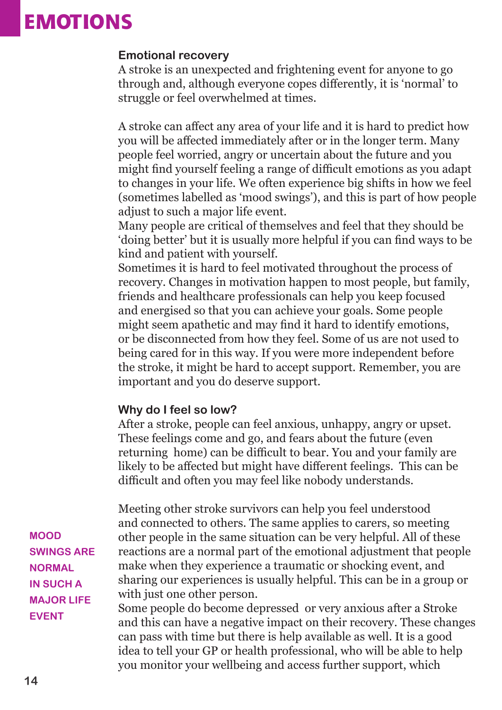### **EMOTIONS**

#### **Emotional recovery**

A stroke is an unexpected and frightening event for anyone to go through and, although everyone copes differently, it is 'normal' to struggle or feel overwhelmed at times.

A stroke can affect any area of your life and it is hard to predict how you will be affected immediately after or in the longer term. Many people feel worried, angry or uncertain about the future and you might find yourself feeling a range of difficult emotions as you adapt to changes in your life. We often experience big shifts in how we feel (sometimes labelled as 'mood swings'), and this is part of how people adjust to such a major life event.

Many people are critical of themselves and feel that they should be 'doing better' but it is usually more helpful if you can find ways to be kind and patient with yourself.

Sometimes it is hard to feel motivated throughout the process of recovery. Changes in motivation happen to most people, but family, friends and healthcare professionals can help you keep focused and energised so that you can achieve your goals. Some people might seem apathetic and may find it hard to identify emotions, or be disconnected from how they feel. Some of us are not used to being cared for in this way. If you were more independent before the stroke, it might be hard to accept support. Remember, you are important and you do deserve support.

#### **Why do I feel so low?**

After a stroke, people can feel anxious, unhappy, angry or upset. These feelings come and go, and fears about the future (even returning home) can be difficult to bear. You and your family are likely to be affected but might have different feelings. This can be difficult and often you may feel like nobody understands.

Meeting other stroke survivors can help you feel understood and connected to others. The same applies to carers, so meeting other people in the same situation can be very helpful. All of these reactions are a normal part of the emotional adjustment that people make when they experience a traumatic or shocking event, and sharing our experiences is usually helpful. This can be in a group or with just one other person.

Some people do become depressed or very anxious after a Stroke and this can have a negative impact on their recovery. These changes can pass with time but there is help available as well. It is a good idea to tell your GP or health professional, who will be able to help you monitor your wellbeing and access further support, which

**MOOD SWINGS ARE NORMAL IN SUCH A MAJOR LIFE EVENT**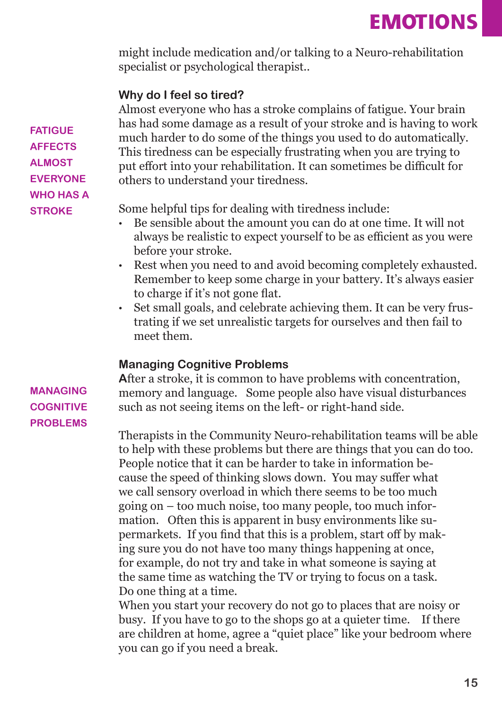might include medication and/or talking to a Neuro-rehabilitation specialist or psychological therapist..

#### **Why do I feel so tired?**

Almost everyone who has a stroke complains of fatigue. Your brain has had some damage as a result of your stroke and is having to work much harder to do some of the things you used to do automatically. This tiredness can be especially frustrating when you are trying to put effort into your rehabilitation. It can sometimes be difficult for others to understand your tiredness.

Some helpful tips for dealing with tiredness include:

- Be sensible about the amount you can do at one time. It will not always be realistic to expect yourself to be as efficient as you were before your stroke.
- Rest when you need to and avoid becoming completely exhausted. Remember to keep some charge in your battery. It's always easier to charge if it's not gone flat.
- Set small goals, and celebrate achieving them. It can be very frustrating if we set unrealistic targets for ourselves and then fail to meet them.

#### **Managing Cognitive Problems**

After a stroke, it is common to have problems with concentration, memory and language. Some people also have visual disturbances such as not seeing items on the left- or right-hand side.

Therapists in the Community Neuro-rehabilitation teams will be able to help with these problems but there are things that you can do too. People notice that it can be harder to take in information because the speed of thinking slows down. You may suffer what we call sensory overload in which there seems to be too much going on – too much noise, too many people, too much information. Often this is apparent in busy environments like supermarkets. If you find that this is a problem, start off by making sure you do not have too many things happening at once, for example, do not try and take in what someone is saying at the same time as watching the TV or trying to focus on a task. Do one thing at a time.

When you start your recovery do not go to places that are noisy or busy. If you have to go to the shops go at a quieter time. If there are children at home, agree a "quiet place" like your bedroom where you can go if you need a break.

**FATIGUE AFFECTS ALMOST EVERYONE WHO HAS A STROKE**

#### **MANAGING COGNITIVE PROBLEMS**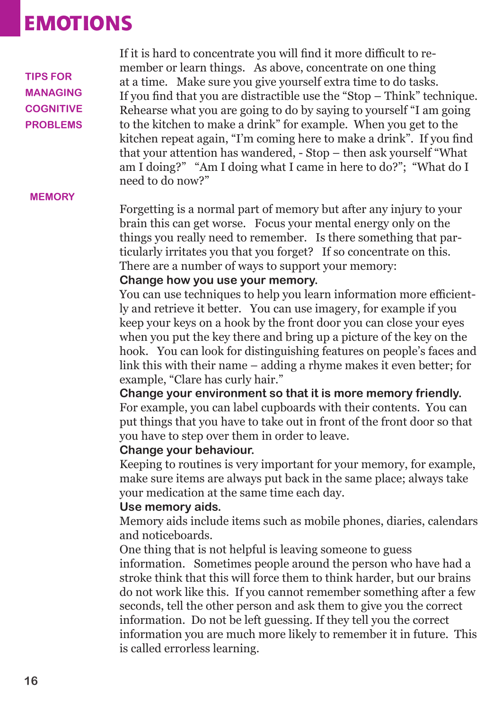### **EMOTIONS**

**TIPS FOR MANAGING COGNITIVE PROBLEMS**

If it is hard to concentrate you will find it more difficult to remember or learn things. As above, concentrate on one thing at a time. Make sure you give yourself extra time to do tasks. If you find that you are distractible use the "Stop – Think" technique. Rehearse what you are going to do by saying to yourself "I am going to the kitchen to make a drink" for example. When you get to the kitchen repeat again, "I'm coming here to make a drink". If you find that your attention has wandered, - Stop – then ask yourself "What am I doing?" "Am I doing what I came in here to do?"; "What do I need to do now?"

#### **MEMORY**

Forgetting is a normal part of memory but after any injury to your brain this can get worse. Focus your mental energy only on the things you really need to remember. Is there something that particularly irritates you that you forget? If so concentrate on this. There are a number of ways to support your memory:

#### **Change how you use your memory.**

You can use techniques to help you learn information more efficiently and retrieve it better. You can use imagery, for example if you keep your keys on a hook by the front door you can close your eyes when you put the key there and bring up a picture of the key on the hook. You can look for distinguishing features on people's faces and link this with their name – adding a rhyme makes it even better; for example, "Clare has curly hair."

**Change your environment so that it is more memory friendly.**  For example, you can label cupboards with their contents. You can put things that you have to take out in front of the front door so that you have to step over them in order to leave.

#### **Change your behaviour.**

Keeping to routines is very important for your memory, for example, make sure items are always put back in the same place; always take your medication at the same time each day.

#### **Use memory aids.**

Memory aids include items such as mobile phones, diaries, calendars and noticeboards.

One thing that is not helpful is leaving someone to guess information. Sometimes people around the person who have had a stroke think that this will force them to think harder, but our brains do not work like this. If you cannot remember something after a few seconds, tell the other person and ask them to give you the correct information. Do not be left guessing. If they tell you the correct information you are much more likely to remember it in future. This is called errorless learning.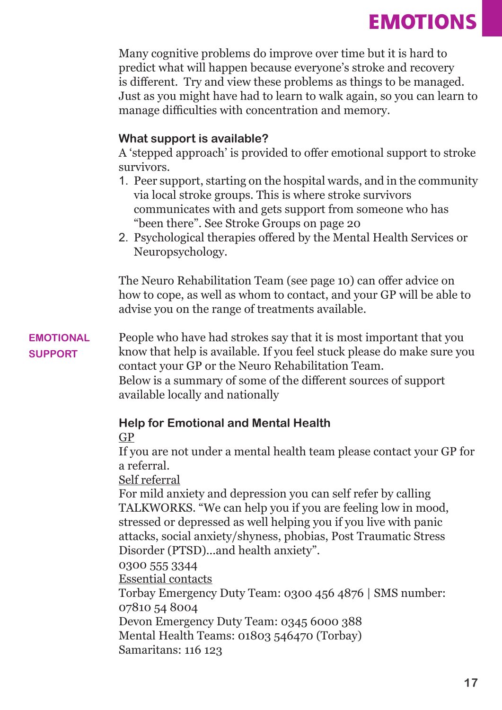Many cognitive problems do improve over time but it is hard to predict what will happen because everyone's stroke and recovery is different. Try and view these problems as things to be managed. Just as you might have had to learn to walk again, so you can learn to manage difficulties with concentration and memory.

#### **What support is available?**

A 'stepped approach' is provided to offer emotional support to stroke survivors.

- 1. Peer support, starting on the hospital wards, and in the community via local stroke groups. This is where stroke survivors communicates with and gets support from someone who has "been there". See Stroke Groups on page 20
- 2. Psychological therapies offered by the Mental Health Services or Neuropsychology.

The Neuro Rehabilitation Team (see page 10) can offer advice on how to cope, as well as whom to contact, and your GP will be able to advise you on the range of treatments available.

People who have had strokes say that it is most important that you know that help is available. If you feel stuck please do make sure you contact your GP or the Neuro Rehabilitation Team. Below is a summary of some of the different sources of support **EMOTIONAL SUPPORT**

available locally and nationally

#### **Help for Emotional and Mental Health**

#### GP

If you are not under a mental health team please contact your GP for a referral.

#### Self referral

For mild anxiety and depression you can self refer by calling TALKWORKS. "We can help you if you are feeling low in mood, stressed or depressed as well helping you if you live with panic attacks, social anxiety/shyness, phobias, Post Traumatic Stress Disorder (PTSD)...and health anxiety".

0300 555 3344 Essential contacts

Torbay Emergency Duty Team: 0300 456 4876 | SMS number: 07810 54 8004

Devon Emergency Duty Team: 0345 6000 388 Mental Health Teams: 01803 546470 (Torbay)

Samaritans: 116 123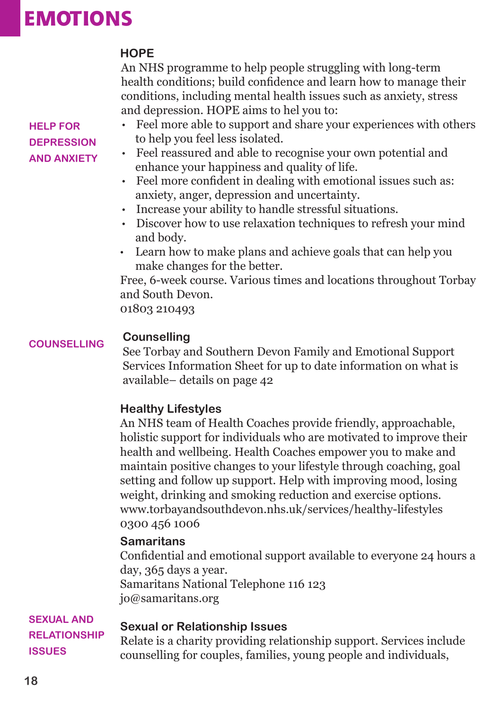### **EMOTIONS**

#### **HOPE**

An NHS programme to help people struggling with long-term health conditions; build confidence and learn how to manage their conditions, including mental health issues such as anxiety, stress and depression. HOPE aims to hel you to:

- Feel more able to support and share your experiences with others to help you feel less isolated.
	- Feel reassured and able to recognise your own potential and enhance your happiness and quality of life.
	- Feel more confident in dealing with emotional issues such as: anxiety, anger, depression and uncertainty.
	- Increase your ability to handle stressful situations.
	- Discover how to use relaxation techniques to refresh your mind and body.
	- Learn how to make plans and achieve goals that can help you make changes for the better.

Free, 6-week course. Various times and locations throughout Torbay and South Devon.

01803 210493

#### **Counselling COUNSELLING**

See Torbay and Southern Devon Family and Emotional Support Services Information Sheet for up to date information on what is available– details on page 42

#### **Healthy Lifestyles**

An NHS team of Health Coaches provide friendly, approachable, holistic support for individuals who are motivated to improve their health and wellbeing. Health Coaches empower you to make and maintain positive changes to your lifestyle through coaching, goal setting and follow up support. Help with improving mood, losing weight, drinking and smoking reduction and exercise options. www.torbayandsouthdevon.nhs.uk/services/healthy-lifestyles 0300 456 1006

#### **Samaritans**

Confidential and emotional support available to everyone 24 hours a day, 365 days a year. Samaritans National Telephone 116 123 jo@samaritans.org

### **SEXUAL AND**

#### **Sexual or Relationship Issues**

**RELATIONSHIP ISSUES**

Relate is a charity providing relationship support. Services include counselling for couples, families, young people and individuals,

#### **HELP FOR DEPRESSION AND ANXIETY**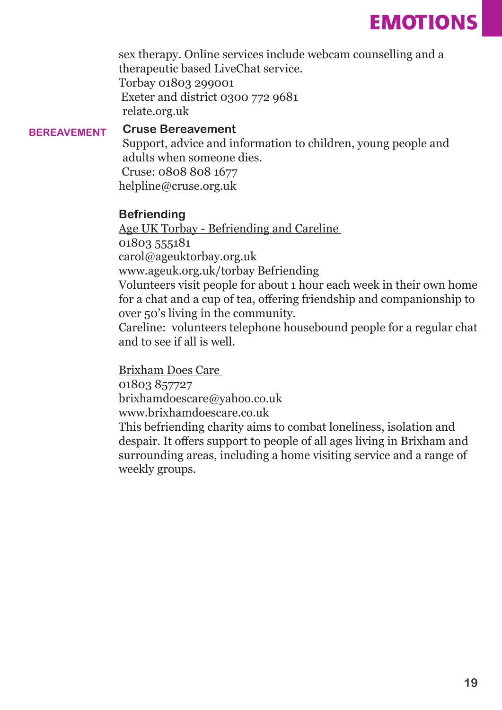### **EMOTIONS**

sex therapy. Online services include webcam counselling and a therapeutic based LiveChat service. Torbay 01803 299001 Exeter and district 0300 772 9681 relate.org.uk

#### **Cruse Bereavement BEREAVEMENT**

Support, advice and information to children, young people and adults when someone dies. Cruse: 0808 808 1677

helpline@cruse.org.uk

#### **Befriending**

Age UK Torbay - Befriending and Careline

01803 555181

carol@ageuktorbay.org.uk

www.ageuk.org.uk/torbay Befriending

Volunteers visit people for about 1 hour each week in their own home for a chat and a cup of tea, offering friendship and companionship to over 50's living in the community.

Careline: volunteers telephone housebound people for a regular chat and to see if all is well.

Brixham Does Care 01803 857727 brixhamdoescare@yahoo.co.uk www.brixhamdoescare.co.uk

This befriending charity aims to combat loneliness, isolation and despair. It offers support to people of all ages living in Brixham and surrounding areas, including a home visiting service and a range of weekly groups.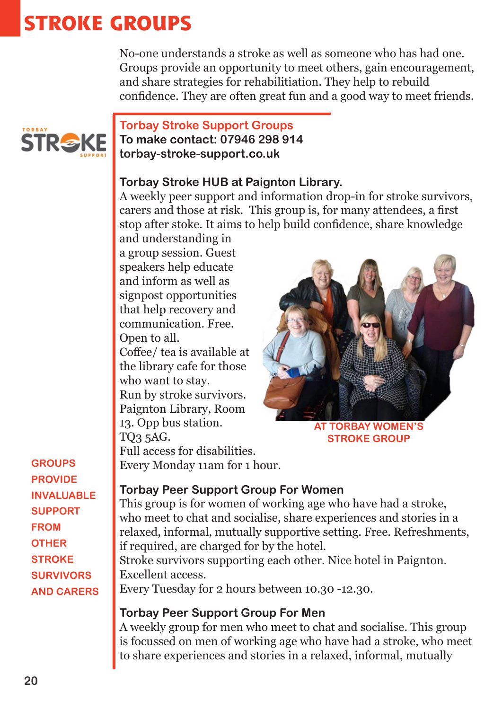### **STROKE GROUPS**

No-one understands a stroke as well as someone who has had one. Groups provide an opportunity to meet others, gain encouragement, and share strategies for rehabilitiation. They help to rebuild confidence. They are often great fun and a good way to meet friends.



#### **Torbay Stroke Support Groups To make contact: 07946 298 914 torbay-stroke-support.co.uk**

#### **Torbay Stroke HUB at Paignton Library.**

A weekly peer support and information drop-in for stroke survivors, carers and those at risk. This group is, for many attendees, a first stop after stoke. It aims to help build confidence, share knowledge

and understanding in a group session. Guest speakers help educate and inform as well as signpost opportunities that help recovery and communication. Free. Open to all.

Coffee/ tea is available at the library cafe for those who want to stay.

Run by stroke survivors. Paignton Library, Room 13. Opp bus station. TQ3 5AG.

Full access for disabilities. Every Monday 11am for 1 hour.



**AT TORBAY WOMEN'S STROKE GROUP**

#### **PROVIDE INVALUABLE SUPPORT FROM OTHER STROKE SURVIVORS AND CARERS**

**GROUPS** 

#### **Torbay Peer Support Group For Women**

This group is for women of working age who have had a stroke, who meet to chat and socialise, share experiences and stories in a relaxed, informal, mutually supportive setting. Free. Refreshments, if required, are charged for by the hotel.

Stroke survivors supporting each other. Nice hotel in Paignton. Excellent access. Every Tuesday for 2 hours between 10.30 -12.30.

#### **Torbay Peer Support Group For Men**

A weekly group for men who meet to chat and socialise. This group is focussed on men of working age who have had a stroke, who meet to share experiences and stories in a relaxed, informal, mutually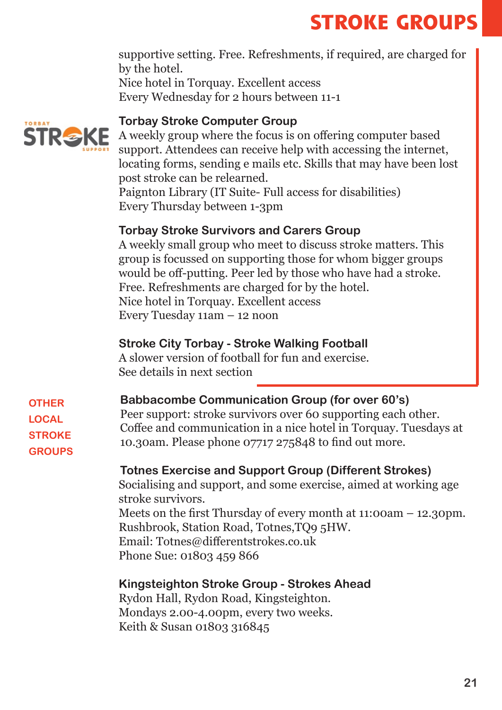# **STROKE GROUPS**

supportive setting. Free. Refreshments, if required, are charged for by the hotel. Nice hotel in Torquay. Excellent access Every Wednesday for 2 hours between 11-1

#### **Torbay Stroke Computer Group**



A weekly group where the focus is on offering computer based support. Attendees can receive help with accessing the internet, locating forms, sending e mails etc. Skills that may have been lost post stroke can be relearned.

Paignton Library (IT Suite- Full access for disabilities) Every Thursday between 1-3pm

#### **Torbay Stroke Survivors and Carers Group**

A weekly small group who meet to discuss stroke matters. This group is focussed on supporting those for whom bigger groups would be off-putting. Peer led by those who have had a stroke. Free. Refreshments are charged for by the hotel. Nice hotel in Torquay. Excellent access Every Tuesday 11am – 12 noon

#### **Stroke City Torbay - Stroke Walking Football**

A slower version of football for fun and exercise. See details in next section

**OTHER LOCAL STROKE GROUPS**

#### **Babbacombe Communication Group (for over 60's)**

Peer support: stroke survivors over 60 supporting each other. Coffee and communication in a nice hotel in Torquay. Tuesdays at 10.30am. Please phone 07717 275848 to find out more.

#### **Totnes Exercise and Support Group (Different Strokes)**

Socialising and support, and some exercise, aimed at working age stroke survivors. Meets on the first Thursday of every month at 11:00am – 12.30pm. Rushbrook, Station Road, Totnes,TQ9 5HW. Email: Totnes@differentstrokes.co.uk Phone Sue: 01803 459 866

#### **Kingsteighton Stroke Group - Strokes Ahead**

Rydon Hall, Rydon Road, Kingsteighton. Mondays 2.00-4.00pm, every two weeks. Keith & Susan 01803 316845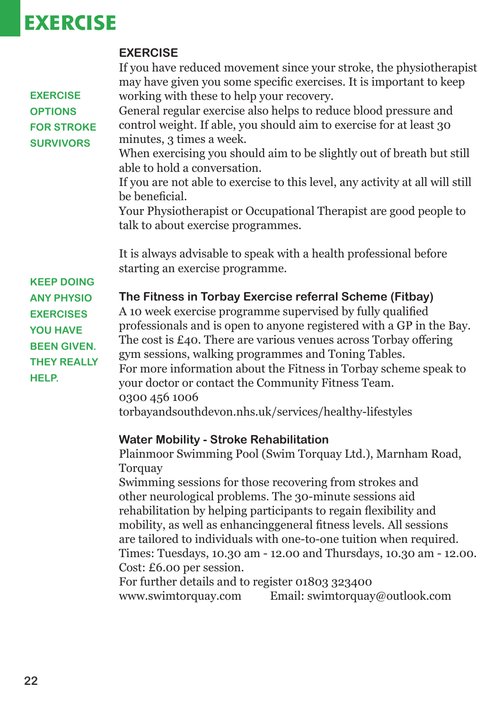### **EXERCISE**

|                                                                                                                                           | <b>EXERCISE</b>                                                                                                                                                                                                                                                                                                                                                                                                                                                                                                                   |
|-------------------------------------------------------------------------------------------------------------------------------------------|-----------------------------------------------------------------------------------------------------------------------------------------------------------------------------------------------------------------------------------------------------------------------------------------------------------------------------------------------------------------------------------------------------------------------------------------------------------------------------------------------------------------------------------|
| <b>EXERCISE</b>                                                                                                                           | If you have reduced movement since your stroke, the physiotherapist<br>may have given you some specific exercises. It is important to keep<br>working with these to help your recovery.                                                                                                                                                                                                                                                                                                                                           |
| <b>OPTIONS</b>                                                                                                                            | General regular exercise also helps to reduce blood pressure and                                                                                                                                                                                                                                                                                                                                                                                                                                                                  |
| <b>FOR STROKE</b><br><b>SURVIVORS</b>                                                                                                     | control weight. If able, you should aim to exercise for at least 30<br>minutes, 3 times a week.                                                                                                                                                                                                                                                                                                                                                                                                                                   |
|                                                                                                                                           | When exercising you should aim to be slightly out of breath but still<br>able to hold a conversation.                                                                                                                                                                                                                                                                                                                                                                                                                             |
|                                                                                                                                           | If you are not able to exercise to this level, any activity at all will still<br>be beneficial.                                                                                                                                                                                                                                                                                                                                                                                                                                   |
|                                                                                                                                           | Your Physiotherapist or Occupational Therapist are good people to<br>talk to about exercise programmes.                                                                                                                                                                                                                                                                                                                                                                                                                           |
|                                                                                                                                           | It is always advisable to speak with a health professional before<br>starting an exercise programme.                                                                                                                                                                                                                                                                                                                                                                                                                              |
| <b>KEEP DOING</b><br><b>ANY PHYSIO</b><br><b>EXERCISES</b><br><b>YOU HAVE</b><br><b>BEEN GIVEN.</b><br><b>THEY REALLY</b><br><b>HELP.</b> | The Fitness in Torbay Exercise referral Scheme (Fitbay)<br>A 10 week exercise programme supervised by fully qualified<br>professionals and is open to anyone registered with a GP in the Bay.<br>The cost is $E_4$ o. There are various venues across Torbay offering<br>gym sessions, walking programmes and Toning Tables.<br>For more information about the Fitness in Torbay scheme speak to<br>your doctor or contact the Community Fitness Team.<br>0300 456 1006<br>torbayandsouthdevon.nhs.uk/services/healthy-lifestyles |
|                                                                                                                                           | <b>Water Mobility - Stroke Rehabilitation</b>                                                                                                                                                                                                                                                                                                                                                                                                                                                                                     |
|                                                                                                                                           | Plainmoor Swimming Pool (Swim Torquay Ltd.), Marnham Road,<br>Torquay                                                                                                                                                                                                                                                                                                                                                                                                                                                             |

Swimming sessions for those recovering from strokes and other neurological problems. The 30-minute sessions aid rehabilitation by helping participants to regain flexibility and mobility, as well as enhancinggeneral fitness levels. All sessions are tailored to individuals with one-to-one tuition when required. Times: Tuesdays, 10.30 am - 12.00 and Thursdays, 10.30 am - 12.00. Cost: £6.00 per session.

For further details and to register 01803 323400 www.swimtorquay.com Email: swimtorquay@outlook.com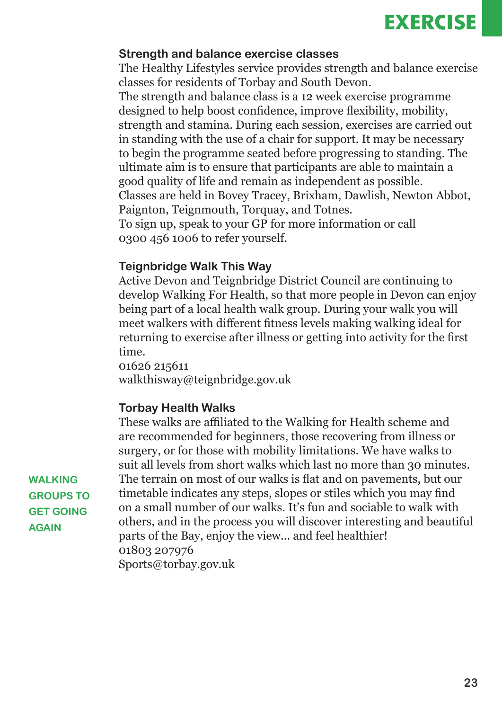### **EXERCISE**

#### **Strength and balance exercise classes**

The Healthy Lifestyles service provides strength and balance exercise classes for residents of Torbay and South Devon.

The strength and balance class is a 12 week exercise programme designed to help boost confidence, improve flexibility, mobility, strength and stamina. During each session, exercises are carried out in standing with the use of a chair for support. It may be necessary to begin the programme seated before progressing to standing. The ultimate aim is to ensure that participants are able to maintain a good quality of life and remain as independent as possible. Classes are held in Bovey Tracey, Brixham, Dawlish, Newton Abbot, Paignton, Teignmouth, Torquay, and Totnes. To sign up, speak to your GP for more information or call 0300 456 1006 to refer yourself.

#### **Teignbridge Walk This Way**

Active Devon and Teignbridge District Council are continuing to develop Walking For Health, so that more people in Devon can enjoy being part of a local health walk group. During your walk you will meet walkers with different fitness levels making walking ideal for returning to exercise after illness or getting into activity for the first time.

01626 215611 walkthisway@teignbridge.gov.uk

#### **Torbay Health Walks**

These walks are affiliated to the Walking for Health scheme and are recommended for beginners, those recovering from illness or surgery, or for those with mobility limitations. We have walks to suit all levels from short walks which last no more than 30 minutes. The terrain on most of our walks is flat and on pavements, but our timetable indicates any steps, slopes or stiles which you may find on a small number of our walks. It's fun and sociable to walk with others, and in the process you will discover interesting and beautiful parts of the Bay, enjoy the view... and feel healthier! 01803 207976 Sports@torbay.gov.uk

**WALKING GROUPS TO GET GOING AGAIN**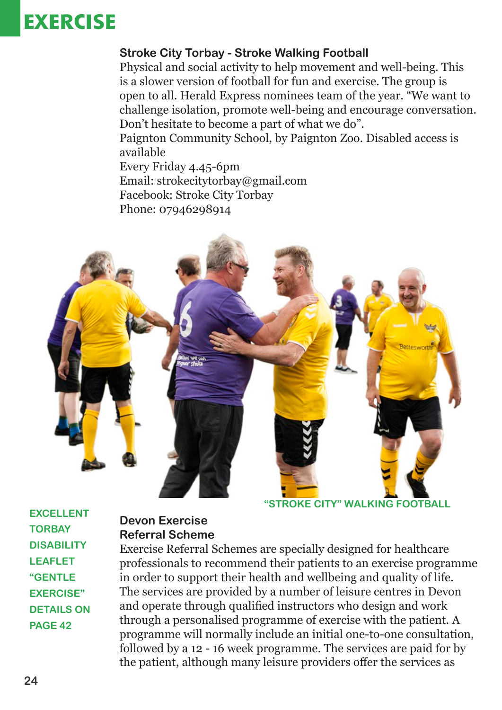### **EXERCISE**

#### **Stroke City Torbay - Stroke Walking Football**

Physical and social activity to help movement and well-being. This is a slower version of football for fun and exercise. The group is open to all. Herald Express nominees team of the year. "We want to challenge isolation, promote well-being and encourage conversation. Don't hesitate to become a part of what we do".

Paignton Community School, by Paignton Zoo. Disabled access is available

Every Friday 4.45-6pm Email: strokecitytorbay@gmail.com Facebook: Stroke City Torbay Phone: 07946298914



**"STROKE CITY" WALKING FOOTBALL** 

**EXCELLENT TORBAY DISABILITY LEAFLET "GENTLE EXERCISE" DETAILS ON PAGE 42**

#### **Devon Exercise Referral Scheme**

Exercise Referral Schemes are specially designed for healthcare professionals to recommend their patients to an exercise programme in order to support their health and wellbeing and quality of life. The services are provided by a number of leisure centres in Devon and operate through qualified instructors who design and work through a personalised programme of exercise with the patient. A programme will normally include an initial one-to-one consultation, followed by a 12 - 16 week programme. The services are paid for by the patient, although many leisure providers offer the services as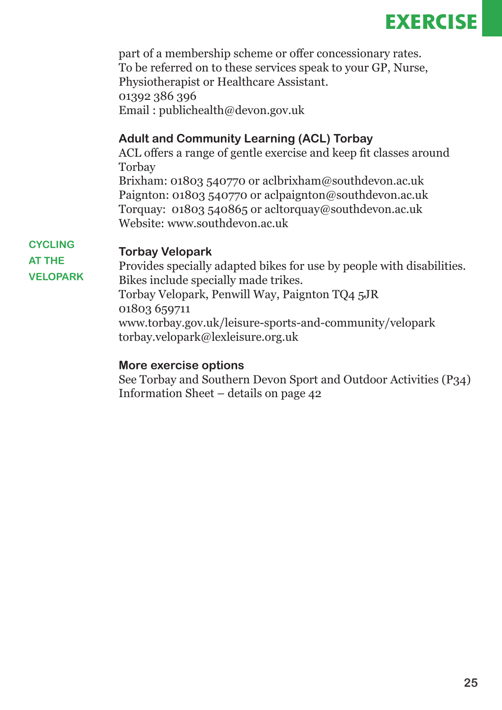

part of a membership scheme or offer concessionary rates. To be referred on to these services speak to your GP, Nurse, Physiotherapist or Healthcare Assistant. 01392 386 396 Email : publichealth@devon.gov.uk

#### **Adult and Community Learning (ACL) Torbay**

ACL offers a range of gentle exercise and keep fit classes around Torbay Brixham: 01803 540770 or aclbrixham@southdevon.ac.uk Paignton: 01803 540770 or aclpaignton@southdevon.ac.uk Torquay: 01803 540865 or acltorquay@southdevon.ac.uk Website: www.southdevon.ac.uk

#### **Torbay Velopark**

**AT THE VELOPARK**

**CYCLING** 

Provides specially adapted bikes for use by people with disabilities. Bikes include specially made trikes. Torbay Velopark, Penwill Way, Paignton TQ4 5JR 01803 659711 www.torbay.gov.uk/leisure-sports-and-community/velopark torbay.velopark@lexleisure.org.uk

#### **More exercise options**

See Torbay and Southern Devon Sport and Outdoor Activities (P34) Information Sheet – details on page 42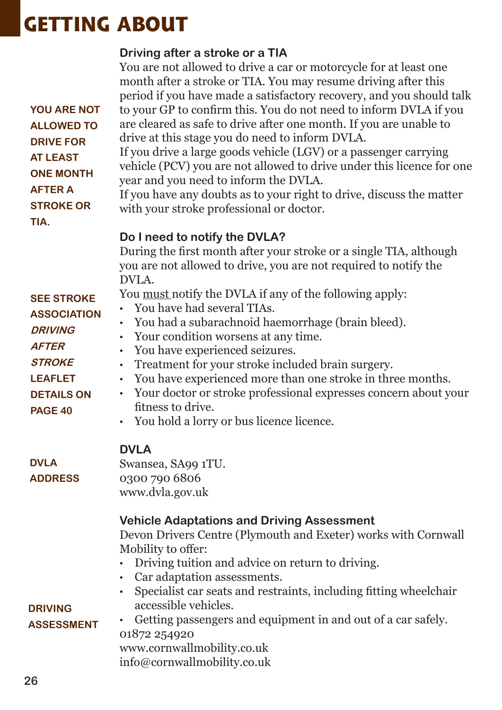### **GETTING ABOUT**

|                    | Driving after a stroke or a TIA                                                                                                           |
|--------------------|-------------------------------------------------------------------------------------------------------------------------------------------|
|                    | You are not allowed to drive a car or motorcycle for at least one<br>month after a stroke or TIA. You may resume driving after this       |
|                    | period if you have made a satisfactory recovery, and you should talk                                                                      |
| <b>YOU ARE NOT</b> | to your GP to confirm this. You do not need to inform DVLA if you                                                                         |
| <b>ALLOWED TO</b>  | are cleared as safe to drive after one month. If you are unable to                                                                        |
| <b>DRIVE FOR</b>   | drive at this stage you do need to inform DVLA.                                                                                           |
| <b>AT LEAST</b>    | If you drive a large goods vehicle (LGV) or a passenger carrying                                                                          |
| <b>ONE MONTH</b>   | vehicle (PCV) you are not allowed to drive under this licence for one                                                                     |
| <b>AFTER A</b>     | year and you need to inform the DVLA.                                                                                                     |
| <b>STROKE OR</b>   | If you have any doubts as to your right to drive, discuss the matter                                                                      |
| TIA.               | with your stroke professional or doctor.                                                                                                  |
|                    | Do I need to notify the DVLA?                                                                                                             |
|                    | During the first month after your stroke or a single TIA, although                                                                        |
|                    | you are not allowed to drive, you are not required to notify the                                                                          |
|                    | DVLA.                                                                                                                                     |
| <b>SEE STROKE</b>  | You <u>must</u> notify the DVLA if any of the following apply:                                                                            |
| <b>ASSOCIATION</b> | You have had several TIAs.<br>$\bullet$                                                                                                   |
| <b>DRIVING</b>     | You had a subarachnoid haemorrhage (brain bleed).<br>$\bullet$                                                                            |
| <b>AFTER</b>       | Your condition worsens at any time.                                                                                                       |
| <b>STROKE</b>      | You have experienced seizures.                                                                                                            |
| <b>LEAFLET</b>     | Treatment for your stroke included brain surgery.<br>$\bullet$<br>You have experienced more than one stroke in three months.<br>$\bullet$ |
| <b>DETAILS ON</b>  | Your doctor or stroke professional expresses concern about your<br>$\bullet$                                                              |
| <b>PAGE 40</b>     | fitness to drive.                                                                                                                         |
|                    | • You hold a lorry or bus licence licence.                                                                                                |
|                    |                                                                                                                                           |
|                    | <b>DVLA</b>                                                                                                                               |
| <b>DVLA</b>        | Swansea, SA99 1TU.                                                                                                                        |
| <b>ADDRESS</b>     | 0300 790 6806                                                                                                                             |
|                    | www.dvla.gov.uk                                                                                                                           |
|                    | <b>Vehicle Adaptations and Driving Assessment</b>                                                                                         |
|                    | Devon Drivers Centre (Plymouth and Exeter) works with Cornwall                                                                            |
|                    | Mobility to offer:                                                                                                                        |
|                    | Driving tuition and advice on return to driving.                                                                                          |
|                    | Car adaptation assessments.<br>$\bullet$                                                                                                  |
|                    | Specialist car seats and restraints, including fitting wheelchair<br>$\bullet$                                                            |
| <b>DRIVING</b>     | accessible vehicles.                                                                                                                      |
| <b>ASSESSMENT</b>  | Getting passengers and equipment in and out of a car safely.                                                                              |
|                    | 01872 254920<br>www.cornwallmobility.co.uk                                                                                                |
|                    | info@cornwallmobility.co.uk                                                                                                               |
|                    |                                                                                                                                           |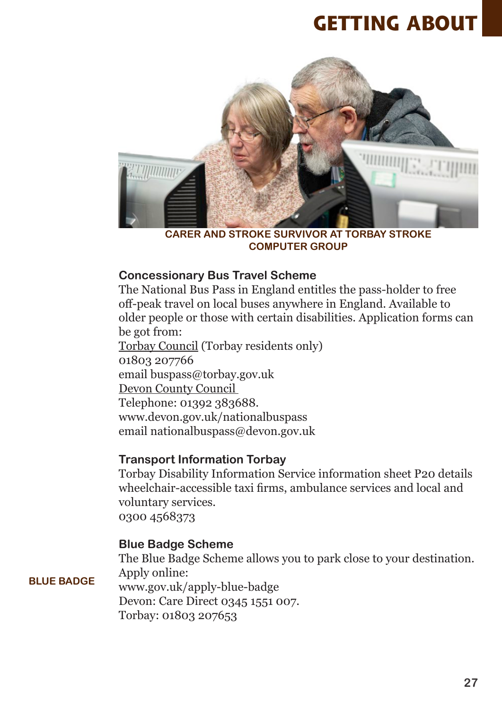### **GETTING ABOUT**



**CARER AND STROKE SURVIVOR AT TORBAY STROKE COMPUTER GROUP**

#### **Concessionary Bus Travel Scheme**

The National Bus Pass in England entitles the pass-holder to free off-peak travel on local buses anywhere in England. Available to older people or those with certain disabilities. Application forms can be got from: Torbay Council (Torbay residents only) 01803 207766

email buspass@torbay.gov.uk Devon County Council Telephone: 01392 383688. www.devon.gov.uk/nationalbuspass email nationalbuspass@devon.gov.uk

#### **Transport Information Torbay**

Torbay Disability Information Service information sheet P20 details wheelchair-accessible taxi firms, ambulance services and local and voluntary services. 0300 4568373

#### **Blue Badge Scheme**

**BLUE BADGE**

The Blue Badge Scheme allows you to park close to your destination. Apply online: www.gov.uk/apply-blue-badge Devon: Care Direct 0345 1551 007. Torbay: 01803 207653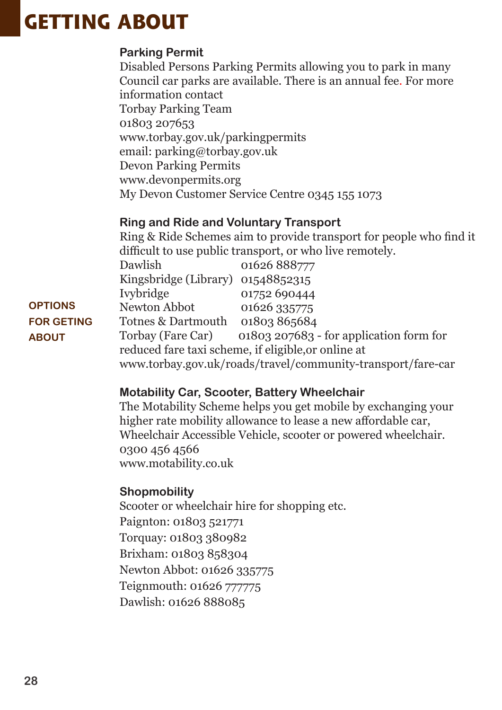### **GETTING ABOUT**

#### **Parking Permit**

Disabled Persons Parking Permits allowing you to park in many Council car parks are available. There is an annual fee. For more information contact Torbay Parking Team 01803 207653 www.torbay.gov.uk/parkingpermits email: parking@torbay.gov.uk Devon Parking Permits www.devonpermits.org My Devon Customer Service Centre 0345 155 1073

#### **Ring and Ride and Voluntary Transport**

Ring & Ride Schemes aim to provide transport for people who find it difficult to use public transport, or who live remotely.

| Dawlish                           | 01626 888777                                                |
|-----------------------------------|-------------------------------------------------------------|
| Kingsbridge (Library) 01548852315 |                                                             |
| <b>Ivybridge</b>                  | 01752 690444                                                |
| Newton Abbot                      | 01626 335775                                                |
| Totnes & Dartmouth 01803 865684   |                                                             |
| Torbay (Fare Car)                 | 01803 207683 - for application form for                     |
|                                   | reduced fare taxi scheme, if eligible, or online at         |
|                                   | www.torbay.gov.uk/roads/travel/community-transport/fare-car |
|                                   |                                                             |

#### **Motability Car, Scooter, Battery Wheelchair**

The Motability Scheme helps you get mobile by exchanging your higher rate mobility allowance to lease a new affordable car, Wheelchair Accessible Vehicle, scooter or powered wheelchair. 0300 456 4566 www.motability.co.uk

#### **Shopmobility**

Scooter or wheelchair hire for shopping etc.

Paignton: 01803 521771 Torquay: 01803 380982 Brixham: 01803 858304 Newton Abbot: 01626 335775

Teignmouth: 01626 777775

Dawlish: 01626 888085

**OPTIONS FOR GETING ABOUT**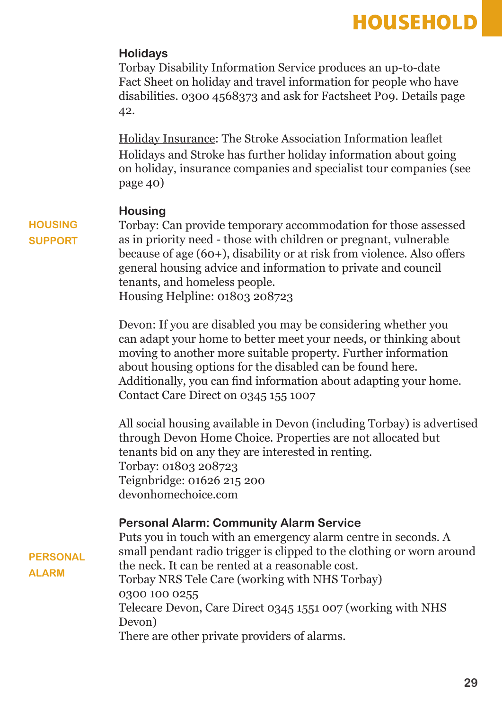### **HOUSEHOLD**

#### **Holidays**

Torbay Disability Information Service produces an up-to-date Fact Sheet on holiday and travel information for people who have disabilities. 0300 4568373 and ask for Factsheet P09. Details page 42.

Holiday Insurance: The Stroke Association Information leaflet Holidays and Stroke has further holiday information about going on holiday, insurance companies and specialist tour companies (see page 40)

#### **Housing**

Torbay: Can provide temporary accommodation for those assessed as in priority need - those with children or pregnant, vulnerable because of age (60+), disability or at risk from violence. Also offers general housing advice and information to private and council tenants, and homeless people.

Housing Helpline: 01803 208723

Devon: If you are disabled you may be considering whether you can adapt your home to better meet your needs, or thinking about moving to another more suitable property. Further information about housing options for the disabled can be found here. Additionally, you can find information about adapting your home. Contact Care Direct on 0345 155 1007

All social housing available in Devon (including Torbay) is advertised through Devon Home Choice. Properties are not allocated but tenants bid on any they are interested in renting. Torbay: 01803 208723 Teignbridge: 01626 215 200 devonhomechoice.com

#### **Personal Alarm: Community Alarm Service**

Puts you in touch with an emergency alarm centre in seconds. A small pendant radio trigger is clipped to the clothing or worn around the neck. It can be rented at a reasonable cost. Torbay NRS Tele Care (working with NHS Torbay) 0300 100 0255 Telecare Devon, Care Direct 0345 1551 007 (working with NHS Devon) There are other private providers of alarms.

**HOUSING SUPPORT**

**PERSONAL** 

**ALARM**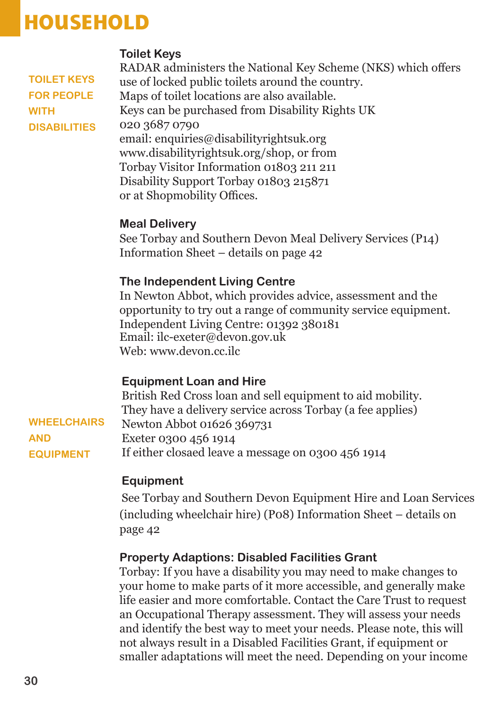### **HOUSEHOLD**

#### **Toilet Keys**

**TOILET KEYS FOR PEOPLE WITH DISABILITIES**

RADAR administers the National Key Scheme (NKS) which offers use of locked public toilets around the country. Maps of toilet locations are also available. Keys can be purchased from Disability Rights UK 020 3687 0790 email: enquiries@disabilityrightsuk.org www.disabilityrightsuk.org/shop, or from Torbay Visitor Information 01803 211 211 Disability Support Torbay 01803 215871 or at Shopmobility Offices.

#### **Meal Delivery**

See Torbay and Southern Devon Meal Delivery Services (P14) Information Sheet – details on page 42

#### **The Independent Living Centre**

In Newton Abbot, which provides advice, assessment and the opportunity to try out a range of community service equipment. Independent Living Centre: 01392 380181 Email: ilc-exeter@devon.gov.uk Web: www.devon.cc.ilc

#### **Equipment Loan and Hire**

British Red Cross loan and sell equipment to aid mobility. They have a delivery service across Torbay (a fee applies) Newton Abbot 01626 369731 Exeter 0300 456 1914 If either closaed leave a message on 0300 456 1914 **WHEELCHAIRS AND EQUIPMENT**

#### **Equipment**

See Torbay and Southern Devon Equipment Hire and Loan Services (including wheelchair hire) (P08) Information Sheet – details on page 42

#### **Property Adaptions: Disabled Facilities Grant**

Torbay: If you have a disability you may need to make changes to your home to make parts of it more accessible, and generally make life easier and more comfortable. Contact the Care Trust to request an Occupational Therapy assessment. They will assess your needs and identify the best way to meet your needs. Please note, this will not always result in a Disabled Facilities Grant, if equipment or smaller adaptations will meet the need. Depending on your income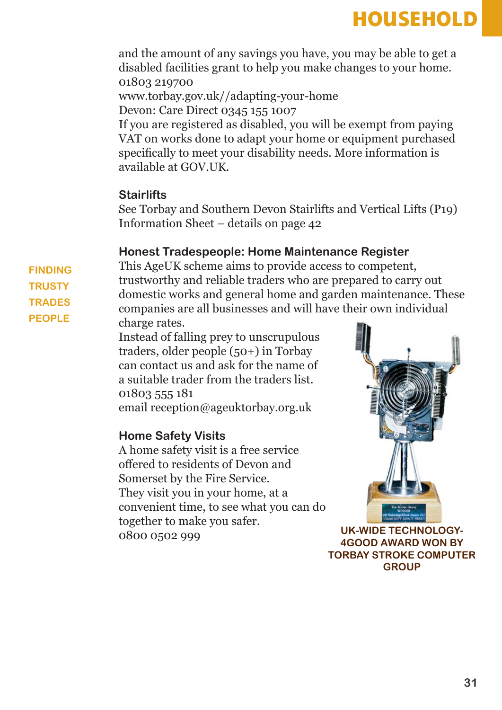### **HOUSEHOLD**

and the amount of any savings you have, you may be able to get a disabled facilities grant to help you make changes to your home. 01803 219700

www.torbay.gov.uk//adapting-your-home

Devon: Care Direct 0345 155 1007

If you are registered as disabled, you will be exempt from paying VAT on works done to adapt your home or equipment purchased specifically to meet your disability needs. More information is available at GOV.UK.

#### **Stairlifts**

See Torbay and Southern Devon Stairlifts and Vertical Lifts (P19) Information Sheet – details on page 42

#### **Honest Tradespeople: Home Maintenance Register**

This AgeUK scheme aims to provide access to competent, trustworthy and reliable traders who are prepared to carry out domestic works and general home and garden maintenance. These companies are all businesses and will have their own individual charge rates.

Instead of falling prey to unscrupulous traders, older people (50+) in Torbay can contact us and ask for the name of a suitable trader from the traders list. 01803 555 181 email reception@ageuktorbay.org.uk

#### **Home Safety Visits**

A home safety visit is a free service offered to residents of Devon and Somerset by the Fire Service. They visit you in your home, at a convenient time, to see what you can do together to make you safer. 0800 0502 999 **UK-WIDE TECHNOLOGY-**



**4GOOD AWARD WON BY TORBAY STROKE COMPUTER GROUP** 

**FINDING TRUSTY TRADES PEOPLE**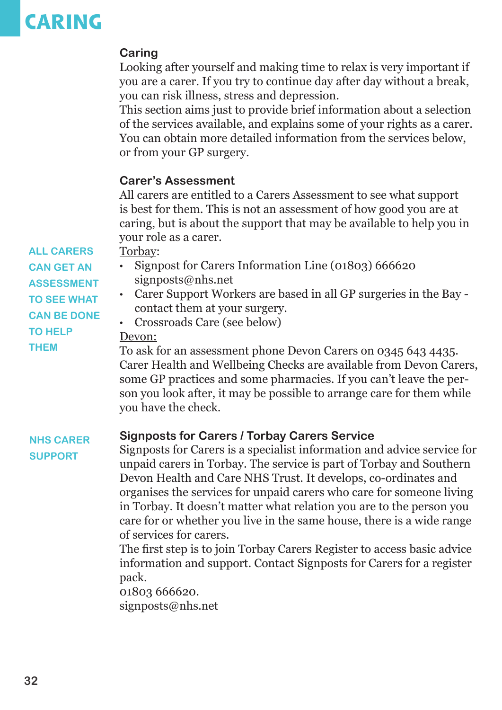### **CARING**

#### **Caring**

Looking after yourself and making time to relax is very important if you are a carer. If you try to continue day after day without a break, you can risk illness, stress and depression.

This section aims just to provide brief information about a selection of the services available, and explains some of your rights as a carer. You can obtain more detailed information from the services below, or from your GP surgery.

#### **Carer's Assessment**

All carers are entitled to a Carers Assessment to see what support is best for them. This is not an assessment of how good you are at caring, but is about the support that may be available to help you in your role as a carer.

Torbay: **ALL CARERS** 

- Signpost for Carers Information Line (01803) 666620 signposts@nhs.net
- Carer Support Workers are based in all GP surgeries in the Bay contact them at your surgery.
- Crossroads Care (see below)

#### Devon:

To ask for an assessment phone Devon Carers on 0345 643 4435. Carer Health and Wellbeing Checks are available from Devon Carers, some GP practices and some pharmacies. If you can't leave the person you look after, it may be possible to arrange care for them while you have the check.

#### **Signposts for Carers / Torbay Carers Service NHS CARER**

**SUPPORT**

Signposts for Carers is a specialist information and advice service for unpaid carers in Torbay. The service is part of Torbay and Southern Devon Health and Care NHS Trust. It develops, co-ordinates and organises the services for unpaid carers who care for someone living in Torbay. It doesn't matter what relation you are to the person you care for or whether you live in the same house, there is a wide range of services for carers.

The first step is to join Torbay Carers Register to access basic advice information and support. Contact Signposts for Carers for a register pack.

01803 666620.

signposts@nhs.net

**CAN GET AN ASSESSMENT TO SEE WHAT CAN BE DONE TO HELP THEM**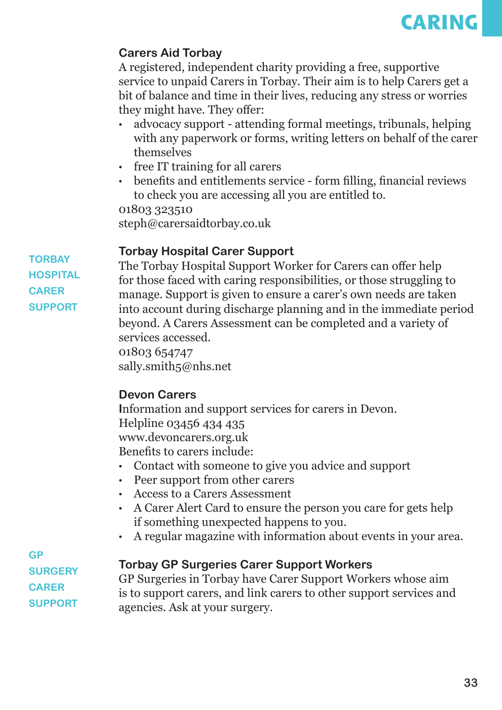

#### **Carers Aid Torbay**

A registered, independent charity providing a free, supportive service to unpaid Carers in Torbay. Their aim is to help Carers get a bit of balance and time in their lives, reducing any stress or worries they might have. They offer:

- advocacy support attending formal meetings, tribunals, helping with any paperwork or forms, writing letters on behalf of the carer themselves
- free IT training for all carers
- benefits and entitlements service form filling, financial reviews to check you are accessing all you are entitled to.

01803 323510 steph@carersaidtorbay.co.uk

#### **Torbay Hospital Carer Support**

**TORBAY HOSPITAL CARER SUPPORT**

The Torbay Hospital Support Worker for Carers can offer help for those faced with caring responsibilities, or those struggling to manage. Support is given to ensure a carer's own needs are taken into account during discharge planning and in the immediate period beyond. A Carers Assessment can be completed and a variety of services accessed.

01803 654747 sally.smith5@nhs.net

#### **Devon Carers**

**I**nformation and support services for carers in Devon. Helpline 03456 434 435 www.devoncarers.org.uk Benefits to carers include:

- Contact with someone to give you advice and support
- Peer support from other carers
- Access to a Carers Assessment
- A Carer Alert Card to ensure the person you care for gets help if something unexpected happens to you.
- A regular magazine with information about events in your area.

**GP SURGERY CARER SUPPORT**

#### **Torbay GP Surgeries Carer Support Workers**

GP Surgeries in Torbay have Carer Support Workers whose aim is to support carers, and link carers to other support services and agencies. Ask at your surgery.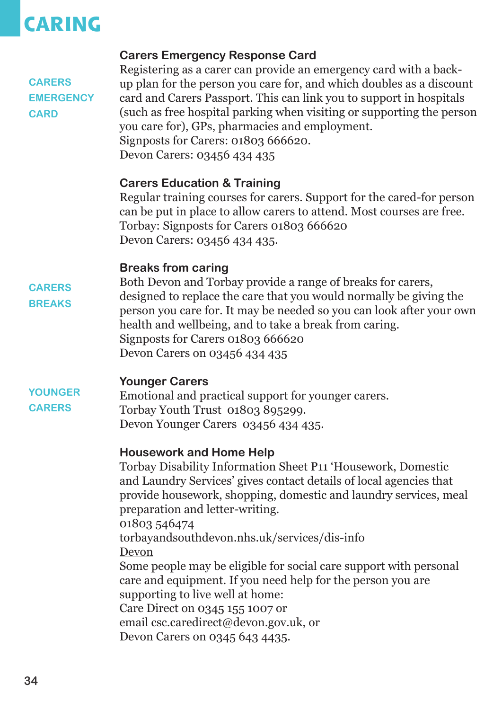### **CARING**

| <b>CARERS</b><br><b>EMERGENCY</b><br><b>CARD</b> | <b>Carers Emergency Response Card</b><br>Registering as a carer can provide an emergency card with a back-<br>up plan for the person you care for, and which doubles as a discount<br>card and Carers Passport. This can link you to support in hospitals<br>(such as free hospital parking when visiting or supporting the person<br>you care for), GPs, pharmacies and employment.<br>Signposts for Carers: 01803 666620.<br>Devon Carers: 03456 434 435                                                                                                                                               |
|--------------------------------------------------|----------------------------------------------------------------------------------------------------------------------------------------------------------------------------------------------------------------------------------------------------------------------------------------------------------------------------------------------------------------------------------------------------------------------------------------------------------------------------------------------------------------------------------------------------------------------------------------------------------|
|                                                  | <b>Carers Education &amp; Training</b><br>Regular training courses for carers. Support for the cared-for person<br>can be put in place to allow carers to attend. Most courses are free.<br>Torbay: Signposts for Carers 01803 666620<br>Devon Carers: 03456 434 435.                                                                                                                                                                                                                                                                                                                                    |
| <b>CARERS</b><br><b>BREAKS</b>                   | <b>Breaks from caring</b><br>Both Devon and Torbay provide a range of breaks for carers,<br>designed to replace the care that you would normally be giving the<br>person you care for. It may be needed so you can look after your own<br>health and wellbeing, and to take a break from caring.<br>Signposts for Carers 01803 666620<br>Devon Carers on 03456 434 435                                                                                                                                                                                                                                   |
| <b>YOUNGER</b><br><b>CARERS</b>                  | <b>Younger Carers</b><br>Emotional and practical support for younger carers.<br>Torbay Youth Trust 01803 895299.<br>Devon Younger Carers 03456 434 435.                                                                                                                                                                                                                                                                                                                                                                                                                                                  |
|                                                  | <b>Housework and Home Help</b><br>Torbay Disability Information Sheet P11 'Housework, Domestic<br>and Laundry Services' gives contact details of local agencies that<br>provide housework, shopping, domestic and laundry services, meal<br>preparation and letter-writing.<br>01803 546474<br>torbayandsouthdevon.nhs.uk/services/dis-info<br>Devon<br>Some people may be eligible for social care support with personal<br>care and equipment. If you need help for the person you are<br>supporting to live well at home:<br>Care Direct on 0345 155 1007 or<br>email csc.caredirect@devon.gov.uk, or |

Devon Carers on 0345 643 4435.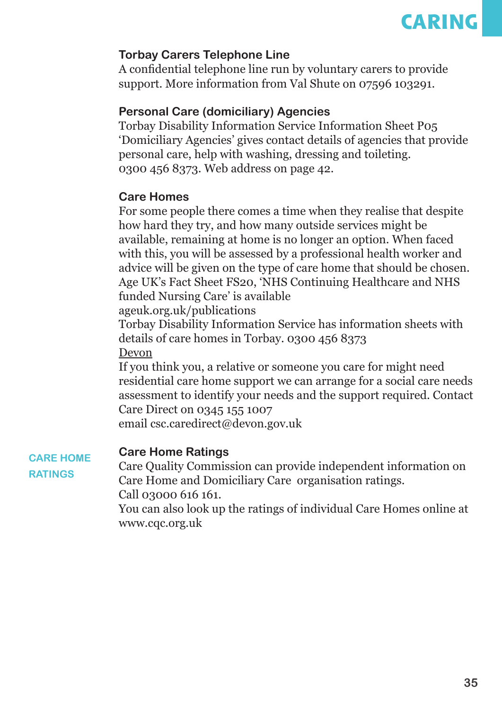

#### **Torbay Carers Telephone Line**

A confidential telephone line run by voluntary carers to provide support. More information from Val Shute on 07596 103291.

#### **Personal Care (domiciliary) Agencies**

Torbay Disability Information Service Information Sheet P05 'Domiciliary Agencies' gives contact details of agencies that provide personal care, help with washing, dressing and toileting. 0300 456 8373. Web address on page 42.

#### **Care Homes**

For some people there comes a time when they realise that despite how hard they try, and how many outside services might be available, remaining at home is no longer an option. When faced with this, you will be assessed by a professional health worker and advice will be given on the type of care home that should be chosen. Age UK's Fact Sheet FS20, 'NHS Continuing Healthcare and NHS funded Nursing Care' is available

ageuk.org.uk/publications

Torbay Disability Information Service has information sheets with details of care homes in Torbay. 0300 456 8373 Devon

If you think you, a relative or someone you care for might need residential care home support we can arrange for a social care needs assessment to identify your needs and the support required. Contact Care Direct on 0345 155 1007

email csc.caredirect@devon.gov.uk

#### **Care Home Ratings**

**CARE HOME RATINGS**

Care Quality Commission can provide independent information on Care Home and Domiciliary Care organisation ratings. Call 03000 616 161.

You can also look up the ratings of individual Care Homes online at www.cqc.org.uk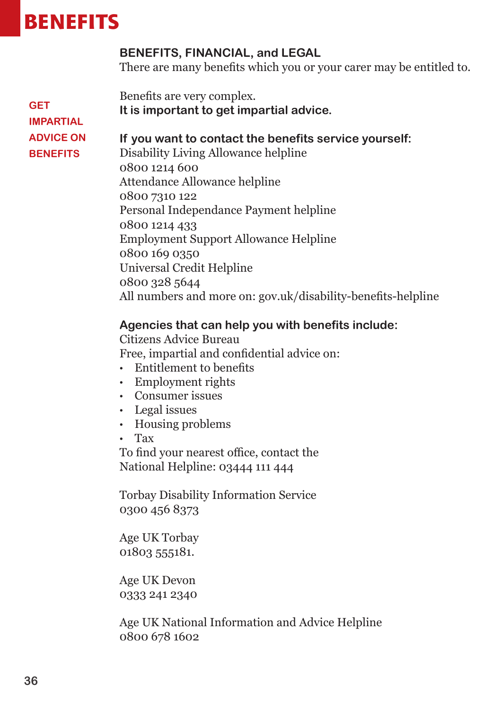### **BENEFITS**

#### **BENEFITS, FINANCIAL, and LEGAL**

There are many benefits which you or your carer may be entitled to.

Benefits are very complex.

**It is important to get impartial advice.** 

#### **GET IMPARTIAL ADVICE ON BENEFITS**

**If you want to contact the benefits service yourself:**

Disability Living Allowance helpline 0800 1214 600 Attendance Allowance helpline 0800 7310 122 Personal Independance Payment helpline 0800 1214 433 Employment Support Allowance Helpline 0800 169 0350 Universal Credit Helpline 0800 328 5644 All numbers and more on: gov.uk/disability-benefits-helpline

#### **Agencies that can help you with benefits include:**

Citizens Advice Bureau Free, impartial and confidential advice on:

- Entitlement to benefits
- Employment rights
- Consumer issues
- Legal issues
- Housing problems
- Tax

To find your nearest office, contact the National Helpline: 03444 111 444

Torbay Disability Information Service 0300 456 8373

Age UK Torbay 01803 555181.

Age UK Devon 0333 241 2340

Age UK National Information and Advice Helpline 0800 678 1602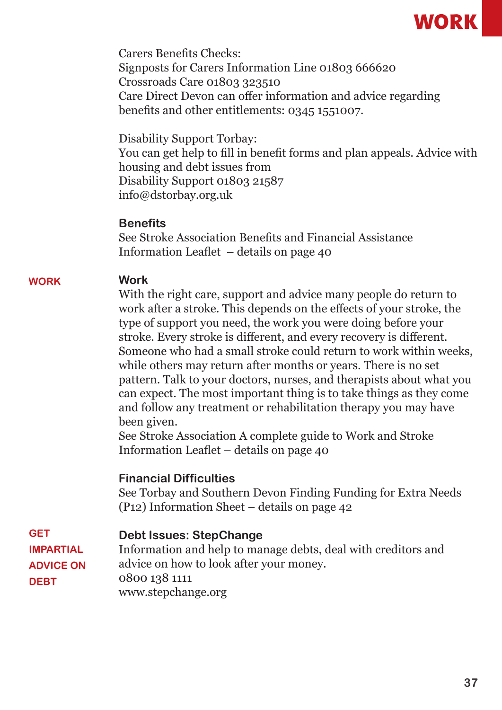

Carers Benefits Checks: Signposts for Carers Information Line 01803 666620 Crossroads Care 01803 323510 Care Direct Devon can offer information and advice regarding benefits and other entitlements: 0345 1551007.

Disability Support Torbay: You can get help to fill in benefit forms and plan appeals. Advice with housing and debt issues from Disability Support 01803 21587 info@dstorbay.org.uk

#### **Benefits**

See Stroke Association Benefits and Financial Assistance Information Leaflet – details on page 40

#### **Work WORK**

With the right care, support and advice many people do return to work after a stroke. This depends on the effects of your stroke, the type of support you need, the work you were doing before your stroke. Every stroke is different, and every recovery is different. Someone who had a small stroke could return to work within weeks, while others may return after months or years. There is no set pattern. Talk to your doctors, nurses, and therapists about what you can expect. The most important thing is to take things as they come and follow any treatment or rehabilitation therapy you may have been given.

See Stroke Association A complete guide to Work and Stroke Information Leaflet – details on page 40

#### **Financial Difficulties**

See Torbay and Southern Devon Finding Funding for Extra Needs (P12) Information Sheet – details on page 42

| <b>GET</b>       | <b>Debt Issues: StepChange</b>                                |
|------------------|---------------------------------------------------------------|
| <b>IMPARTIAL</b> | Information and help to manage debts, deal with creditors and |
| <b>ADVICE ON</b> | advice on how to look after your money.                       |
| <b>DEBT</b>      | 0800 138 1111                                                 |
|                  | www.stepchange.org                                            |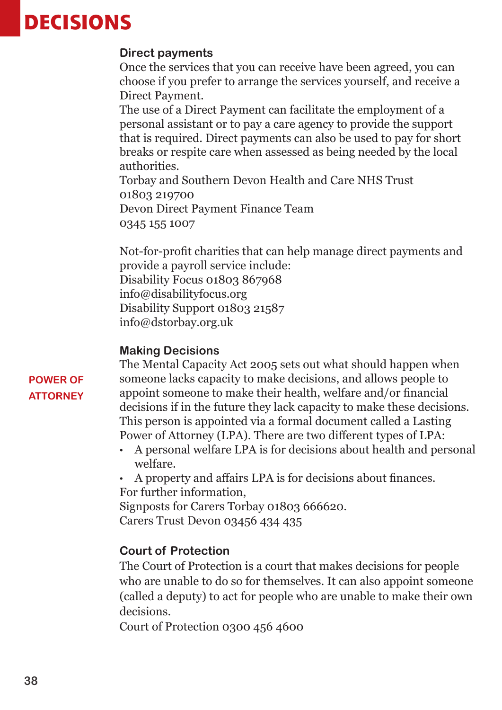### **DECISIONS**

#### **Direct payments**

Once the services that you can receive have been agreed, you can choose if you prefer to arrange the services yourself, and receive a Direct Payment.

The use of a Direct Payment can facilitate the employment of a personal assistant or to pay a care agency to provide the support that is required. Direct payments can also be used to pay for short breaks or respite care when assessed as being needed by the local authorities.

Torbay and Southern Devon Health and Care NHS Trust 01803 219700 Devon Direct Payment Finance Team 0345 155 1007

Not-for-profit charities that can help manage direct payments and provide a payroll service include:

Disability Focus 01803 867968 info@disabilityfocus.org Disability Support 01803 21587 info@dstorbay.org.uk

#### **Making Decisions**

#### **POWER OF ATTORNEY**

The Mental Capacity Act 2005 sets out what should happen when someone lacks capacity to make decisions, and allows people to appoint someone to make their health, welfare and/or financial decisions if in the future they lack capacity to make these decisions. This person is appointed via a formal document called a Lasting Power of Attorney (LPA). There are two different types of LPA:

- A personal welfare LPA is for decisions about health and personal welfare.
- A property and affairs LPA is for decisions about finances.

For further information,

Signposts for Carers Torbay 01803 666620. Carers Trust Devon 03456 434 435

#### **Court of Protection**

The Court of Protection is a court that makes decisions for people who are unable to do so for themselves. It can also appoint someone (called a deputy) to act for people who are unable to make their own decisions.

Court of Protection 0300 456 4600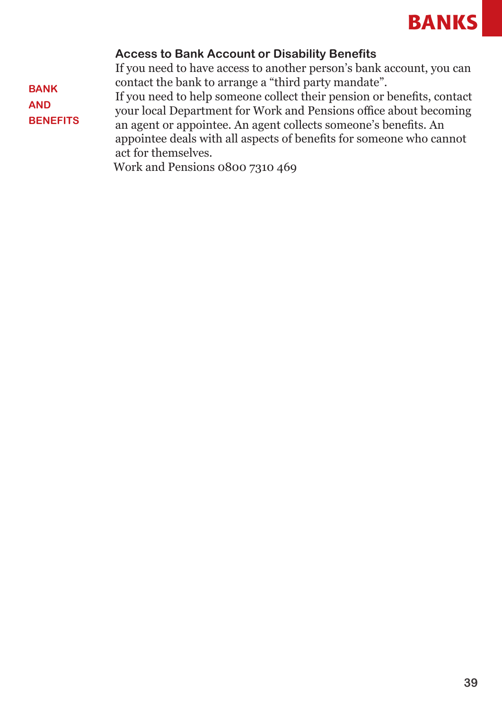

#### **Access to Bank Account or Disability Benefits**

If you need to have access to another person's bank account, you can contact the bank to arrange a "third party mandate".

If you need to help someone collect their pension or benefits, contact your local Department for Work and Pensions office about becoming

an agent or appointee. An agent collects someone's benefits. An appointee deals with all aspects of benefits for someone who cannot act for themselves.

Work and Pensions 0800 7310 469

**BANK AND** 

**BENEFITS**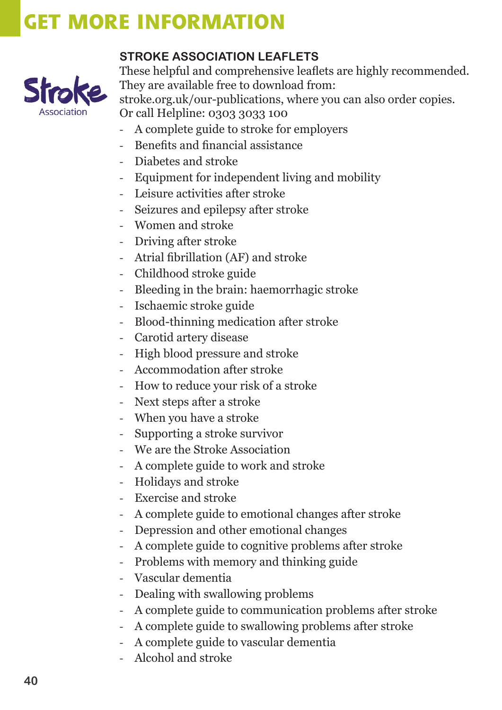

#### **STROKE ASSOCIATION LEAFLETS**

These helpful and comprehensive leaflets are highly recommended. They are available free to download from: stroke.org.uk/our-publications, where you can also order copies. Or call Helpline: 0303 3033 100

- A complete guide to stroke for employers
- Benefits and financial assistance
- Diabetes and stroke
- Equipment for independent living and mobility
- Leisure activities after stroke
- Seizures and epilepsy after stroke
- Women and stroke
- Driving after stroke
- Atrial fibrillation (AF) and stroke
- Childhood stroke guide
- Bleeding in the brain: haemorrhagic stroke
- Ischaemic stroke guide
- Blood-thinning medication after stroke
- Carotid artery disease
- High blood pressure and stroke
- Accommodation after stroke
- How to reduce your risk of a stroke
- Next steps after a stroke
- When you have a stroke
- Supporting a stroke survivor
- We are the Stroke Association
- A complete guide to work and stroke
- Holidays and stroke
- Exercise and stroke
- A complete guide to emotional changes after stroke
- Depression and other emotional changes
- A complete guide to cognitive problems after stroke
- Problems with memory and thinking guide
- Vascular dementia
- Dealing with swallowing problems
- A complete guide to communication problems after stroke
- A complete guide to swallowing problems after stroke
- A complete guide to vascular dementia
- Alcohol and stroke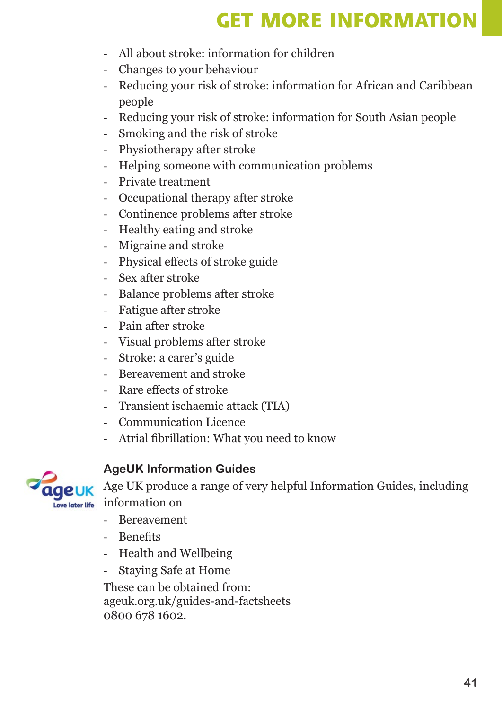- All about stroke: information for children
- Changes to your behaviour
- Reducing your risk of stroke: information for African and Caribbean people
- Reducing your risk of stroke: information for South Asian people
- Smoking and the risk of stroke
- Physiotherapy after stroke
- Helping someone with communication problems
- Private treatment
- Occupational therapy after stroke
- Continence problems after stroke
- Healthy eating and stroke
- Migraine and stroke
- Physical effects of stroke guide
- Sex after stroke
- Balance problems after stroke
- Fatigue after stroke
- Pain after stroke
- Visual problems after stroke
- Stroke: a carer's guide
- Bereavement and stroke
- Rare effects of stroke
- Transient ischaemic attack (TIA)
- Communication Licence
- Atrial fibrillation: What you need to know



#### **AgeUK Information Guides**

Age UK produce a range of very helpful Information Guides, including information on

- Bereavement
- Benefits
- Health and Wellbeing
- Staying Safe at Home

These can be obtained from: ageuk.org.uk/guides-and-factsheets 0800 678 1602.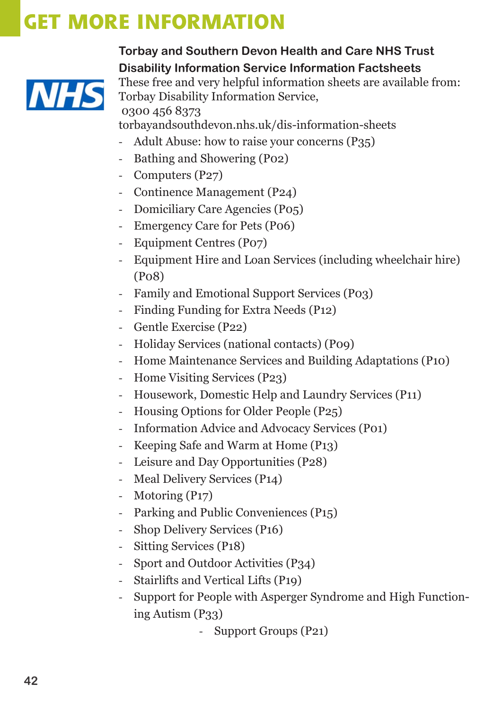

**Torbay and Southern Devon Health and Care NHS Trust Disability Information Service Information Factsheets** These free and very helpful information sheets are available from: Torbay Disability Information Service, 0300 456 8373 torbayandsouthdevon.nhs.uk/dis-information-sheets

- Adult Abuse: how to raise your concerns (P35)
- Bathing and Showering (P02)
- Computers (P27)
- Continence Management (P24)
- Domiciliary Care Agencies (P05)
- Emergency Care for Pets (P06)
- Equipment Centres (P07)
- Equipment Hire and Loan Services (including wheelchair hire) (P08)
- Family and Emotional Support Services (P03)
- Finding Funding for Extra Needs (P12)
- Gentle Exercise (P22)
- Holiday Services (national contacts) (P09)
- Home Maintenance Services and Building Adaptations (P10)
- Home Visiting Services (P23)
- Housework, Domestic Help and Laundry Services (P11)
- Housing Options for Older People (P25)
- Information Advice and Advocacy Services (P01)
- Keeping Safe and Warm at Home (P13)
- Leisure and Day Opportunities (P28)
- Meal Delivery Services (P14)
- Motoring (P17)
- Parking and Public Conveniences (P15)
- Shop Delivery Services (P16)
- Sitting Services (P18)
- Sport and Outdoor Activities (P34)
- Stairlifts and Vertical Lifts (P19)
- Support for People with Asperger Syndrome and High Functioning Autism  $(P33)$ 
	- Support Groups (P21)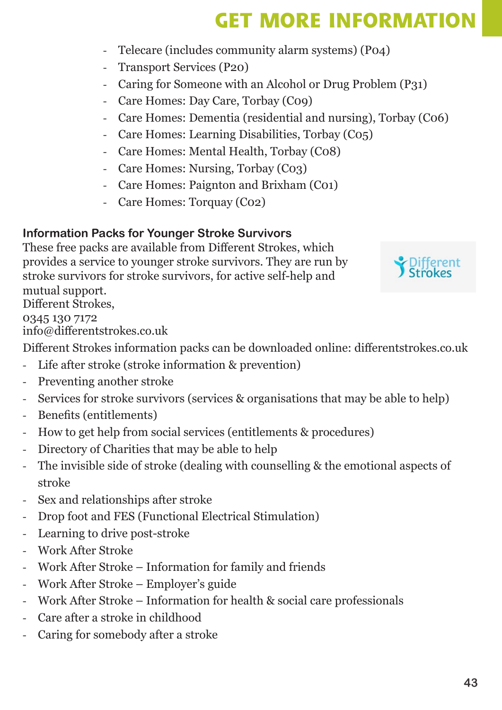- Telecare (includes community alarm systems) (P04)
- Transport Services (P20)
- Caring for Someone with an Alcohol or Drug Problem (P31)
- Care Homes: Day Care, Torbay (C09)
- Care Homes: Dementia (residential and nursing), Torbay (C06)
- Care Homes: Learning Disabilities, Torbay (C05)
- Care Homes: Mental Health, Torbay (C08)
- Care Homes: Nursing, Torbay (C03)
- Care Homes: Paignton and Brixham (C01)
- Care Homes: Torquay (C02)

### **Information Packs for Younger Stroke Survivors**

These free packs are available from Different Strokes, which provides a service to younger stroke survivors. They are run by stroke survivors for stroke survivors, for active self-help and mutual support. Different Strokes,

0345 130 7172

info@differentstrokes.co.uk

Different Strokes information packs can be downloaded online: differentstrokes.co.uk

- Life after stroke (stroke information & prevention)
- Preventing another stroke
- Services for stroke survivors (services & organisations that may be able to help)
- Benefits (entitlements)
- How to get help from social services (entitlements & procedures)
- Directory of Charities that may be able to help
- The invisible side of stroke (dealing with counselling & the emotional aspects of stroke
- Sex and relationships after stroke
- Drop foot and FES (Functional Electrical Stimulation)
- Learning to drive post-stroke
- Work After Stroke
- Work After Stroke Information for family and friends
- Work After Stroke Employer's guide
- Work After Stroke Information for health & social care professionals
- Care after a stroke in childhood
- Caring for somebody after a stroke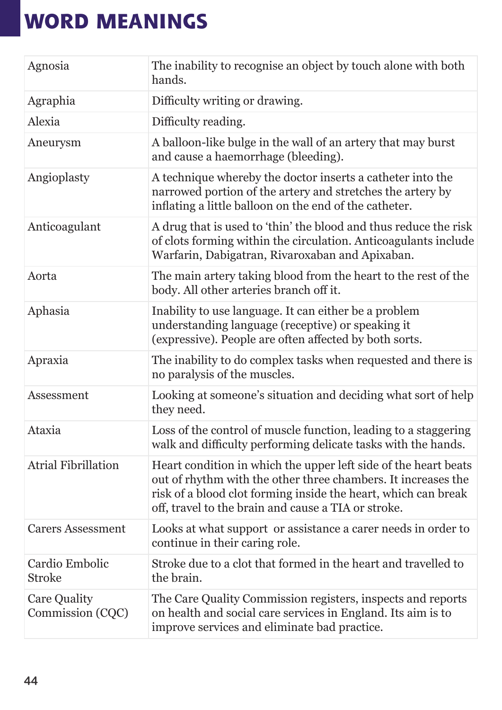| Agnosia                          | The inability to recognise an object by touch alone with both<br>hands.                                                                                                                                                                                   |
|----------------------------------|-----------------------------------------------------------------------------------------------------------------------------------------------------------------------------------------------------------------------------------------------------------|
| Agraphia                         | Difficulty writing or drawing.                                                                                                                                                                                                                            |
| Alexia                           | Difficulty reading.                                                                                                                                                                                                                                       |
| Aneurysm                         | A balloon-like bulge in the wall of an artery that may burst<br>and cause a haemorrhage (bleeding).                                                                                                                                                       |
| Angioplasty                      | A technique whereby the doctor inserts a catheter into the<br>narrowed portion of the artery and stretches the artery by<br>inflating a little balloon on the end of the catheter.                                                                        |
| Anticoagulant                    | A drug that is used to 'thin' the blood and thus reduce the risk<br>of clots forming within the circulation. Anticoagulants include<br>Warfarin, Dabigatran, Rivaroxaban and Apixaban.                                                                    |
| Aorta                            | The main artery taking blood from the heart to the rest of the<br>body. All other arteries branch off it.                                                                                                                                                 |
| Aphasia                          | Inability to use language. It can either be a problem<br>understanding language (receptive) or speaking it<br>(expressive). People are often affected by both sorts.                                                                                      |
| Apraxia                          | The inability to do complex tasks when requested and there is<br>no paralysis of the muscles.                                                                                                                                                             |
| Assessment                       | Looking at someone's situation and deciding what sort of help<br>they need.                                                                                                                                                                               |
| Ataxia                           | Loss of the control of muscle function, leading to a staggering<br>walk and difficulty performing delicate tasks with the hands.                                                                                                                          |
| <b>Atrial Fibrillation</b>       | Heart condition in which the upper left side of the heart beats<br>out of rhythm with the other three chambers. It increases the<br>risk of a blood clot forming inside the heart, which can break<br>off, travel to the brain and cause a TIA or stroke. |
| <b>Carers Assessment</b>         | Looks at what support or assistance a carer needs in order to<br>continue in their caring role.                                                                                                                                                           |
| Cardio Embolic<br><b>Stroke</b>  | Stroke due to a clot that formed in the heart and travelled to<br>the brain.                                                                                                                                                                              |
| Care Quality<br>Commission (CQC) | The Care Quality Commission registers, inspects and reports<br>on health and social care services in England. Its aim is to<br>improve services and eliminate bad practice.                                                                               |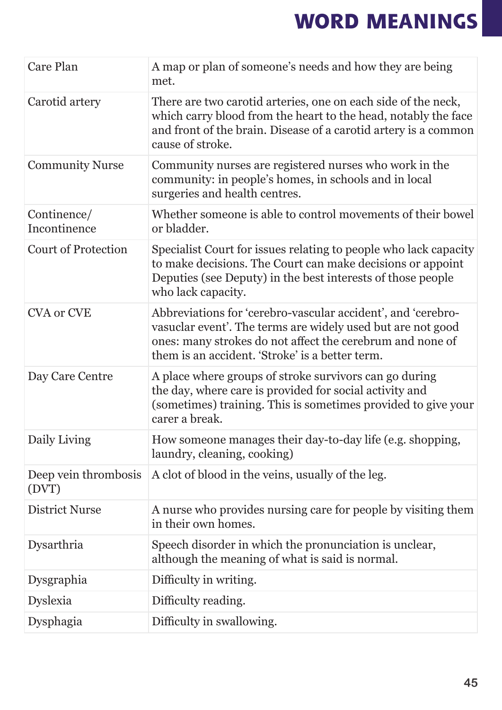| <b>Care Plan</b>              | A map or plan of someone's needs and how they are being<br>met.                                                                                                                                                                             |
|-------------------------------|---------------------------------------------------------------------------------------------------------------------------------------------------------------------------------------------------------------------------------------------|
| Carotid artery                | There are two carotid arteries, one on each side of the neck,<br>which carry blood from the heart to the head, notably the face<br>and front of the brain. Disease of a carotid artery is a common<br>cause of stroke.                      |
| <b>Community Nurse</b>        | Community nurses are registered nurses who work in the<br>community: in people's homes, in schools and in local<br>surgeries and health centres.                                                                                            |
| Continence/<br>Incontinence   | Whether someone is able to control movements of their bowel<br>or bladder.                                                                                                                                                                  |
| <b>Court of Protection</b>    | Specialist Court for issues relating to people who lack capacity<br>to make decisions. The Court can make decisions or appoint<br>Deputies (see Deputy) in the best interests of those people<br>who lack capacity.                         |
| <b>CVA or CVE</b>             | Abbreviations for 'cerebro-vascular accident', and 'cerebro-<br>vasuclar event'. The terms are widely used but are not good<br>ones: many strokes do not affect the cerebrum and none of<br>them is an accident. 'Stroke' is a better term. |
| Day Care Centre               | A place where groups of stroke survivors can go during<br>the day, where care is provided for social activity and<br>(sometimes) training. This is sometimes provided to give your<br>carer a break.                                        |
| Daily Living                  | How someone manages their day-to-day life (e.g. shopping,<br>laundry, cleaning, cooking)                                                                                                                                                    |
| Deep vein thrombosis<br>(DVT) | A clot of blood in the veins, usually of the leg.                                                                                                                                                                                           |
| District Nurse                | A nurse who provides nursing care for people by visiting them<br>in their own homes.                                                                                                                                                        |
| Dysarthria                    | Speech disorder in which the pronunciation is unclear,<br>although the meaning of what is said is normal.                                                                                                                                   |
| Dysgraphia                    | Difficulty in writing.                                                                                                                                                                                                                      |
| Dyslexia                      | Difficulty reading.                                                                                                                                                                                                                         |
| Dysphagia                     | Difficulty in swallowing.                                                                                                                                                                                                                   |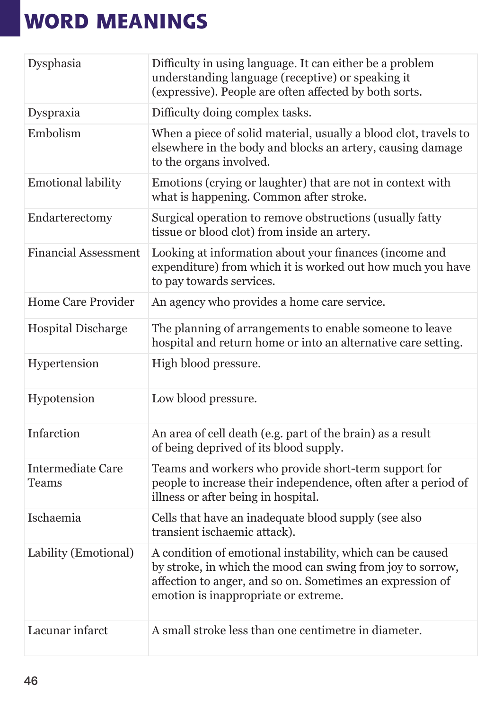| Dysphasia                         | Difficulty in using language. It can either be a problem<br>understanding language (receptive) or speaking it<br>(expressive). People are often affected by both sorts.                                                      |
|-----------------------------------|------------------------------------------------------------------------------------------------------------------------------------------------------------------------------------------------------------------------------|
| Dyspraxia                         | Difficulty doing complex tasks.                                                                                                                                                                                              |
| Embolism                          | When a piece of solid material, usually a blood clot, travels to<br>elsewhere in the body and blocks an artery, causing damage<br>to the organs involved.                                                                    |
| <b>Emotional lability</b>         | Emotions (crying or laughter) that are not in context with<br>what is happening. Common after stroke.                                                                                                                        |
| Endarterectomy                    | Surgical operation to remove obstructions (usually fatty<br>tissue or blood clot) from inside an artery.                                                                                                                     |
| <b>Financial Assessment</b>       | Looking at information about your finances (income and<br>expenditure) from which it is worked out how much you have<br>to pay towards services.                                                                             |
| <b>Home Care Provider</b>         | An agency who provides a home care service.                                                                                                                                                                                  |
| <b>Hospital Discharge</b>         | The planning of arrangements to enable someone to leave<br>hospital and return home or into an alternative care setting.                                                                                                     |
|                                   |                                                                                                                                                                                                                              |
| Hypertension                      | High blood pressure.                                                                                                                                                                                                         |
| Hypotension                       | Low blood pressure.                                                                                                                                                                                                          |
| Infarction                        | An area of cell death (e.g. part of the brain) as a result<br>of being deprived of its blood supply.                                                                                                                         |
| Intermediate Care<br><b>Teams</b> | Teams and workers who provide short-term support for<br>people to increase their independence, often after a period of<br>illness or after being in hospital.                                                                |
| Ischaemia                         | Cells that have an inadequate blood supply (see also<br>transient ischaemic attack).                                                                                                                                         |
| Lability (Emotional)              | A condition of emotional instability, which can be caused<br>by stroke, in which the mood can swing from joy to sorrow,<br>affection to anger, and so on. Sometimes an expression of<br>emotion is inappropriate or extreme. |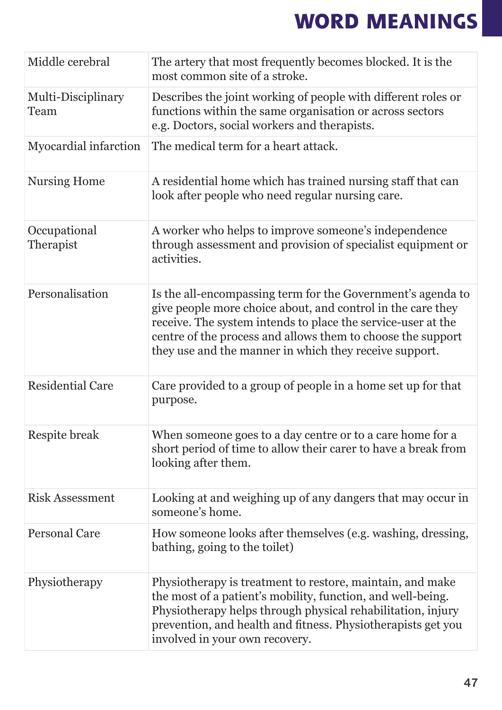| Middle cerebral            | The artery that most frequently becomes blocked. It is the                                                                                                                                                                                                                                                          |
|----------------------------|---------------------------------------------------------------------------------------------------------------------------------------------------------------------------------------------------------------------------------------------------------------------------------------------------------------------|
|                            | most common site of a stroke.                                                                                                                                                                                                                                                                                       |
| Multi-Disciplinary<br>Team | Describes the joint working of people with different roles or<br>functions within the same organisation or across sectors<br>e.g. Doctors, social workers and therapists.                                                                                                                                           |
| Myocardial infarction      | The medical term for a heart attack.                                                                                                                                                                                                                                                                                |
| <b>Nursing Home</b>        | A residential home which has trained nursing staff that can<br>look after people who need regular nursing care.                                                                                                                                                                                                     |
| Occupational<br>Therapist  | A worker who helps to improve someone's independence<br>through assessment and provision of specialist equipment or<br>activities.                                                                                                                                                                                  |
| Personalisation            | Is the all-encompassing term for the Government's agenda to<br>give people more choice about, and control in the care they<br>receive. The system intends to place the service-user at the<br>centre of the process and allows them to choose the support<br>they use and the manner in which they receive support. |
| <b>Residential Care</b>    | Care provided to a group of people in a home set up for that<br>purpose.                                                                                                                                                                                                                                            |
| Respite break              | When someone goes to a day centre or to a care home for a<br>short period of time to allow their carer to have a break from<br>looking after them.                                                                                                                                                                  |
| <b>Risk Assessment</b>     | Looking at and weighing up of any dangers that may occur in<br>someone's home.                                                                                                                                                                                                                                      |
| <b>Personal Care</b>       | How someone looks after themselves (e.g. washing, dressing,<br>bathing, going to the toilet)                                                                                                                                                                                                                        |
| Physiotherapy              | Physiotherapy is treatment to restore, maintain, and make<br>the most of a patient's mobility, function, and well-being.<br>Physiotherapy helps through physical rehabilitation, injury<br>prevention, and health and fitness. Physiotherapists get you<br>involved in your own recovery.                           |